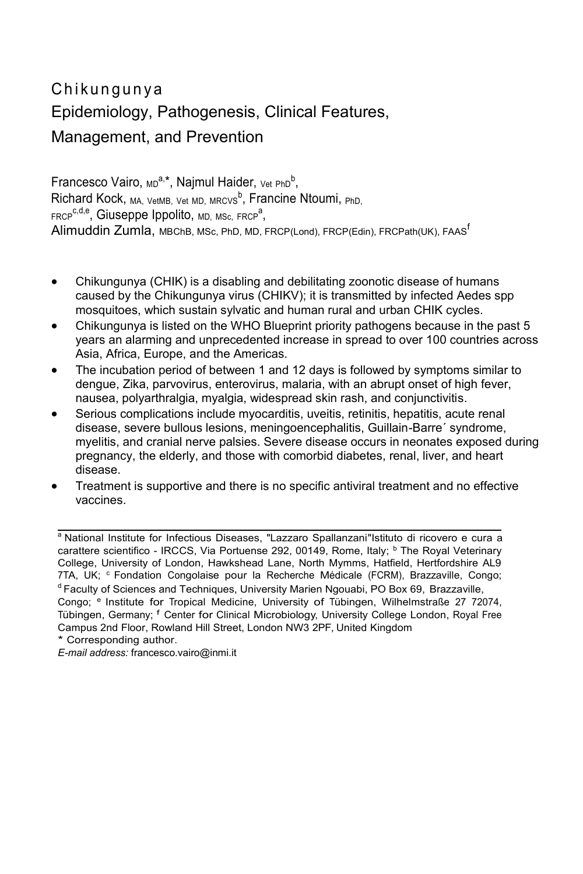# Chikungunya Epidemiology, Pathogenesis, Clinical Features, Management, and Prevention

Francesco Vairo, <sub>MD</sub><sup>[a,](#page-0-0)\*</sup>[,](#page-0-2) Najmul Haider, <sub>Vet PhD</sub>b, Richard Kock[,](#page-0-2) <sub>MA, VetMB, Vet MD, MRCVS</sub><sup>b</sup>, Francine Ntoumi, PhD, ғкср<sup>с,d,е</sup>, Gius[e](#page-0-4)ppe Ippolito[,](#page-0-0) <sub>мD, MSc, FRCP</sub>a, Alimuddin Zumla, MBChB, M[S](#page-0-4)c, PhD, MD, FRCP(Lond), FRCP(Edin), FRCPath(UK), FAAS<sup>f</sup>

- Chikungunya (CHIK) is a disabling and debilitating zoonotic disease of humans caused by the Chikungunya virus (CHIKV); it is transmitted by infected Aedes spp mosquitoes, which sustain sylvatic and human rural and urban CHIK cycles.
- Chikungunya is listed on the WHO Blueprint priority pathogens because in the past 5 years an alarming and unprecedented increase in spread to over 100 countries across Asia, Africa, Europe, and the Americas.
- The incubation period of between 1 and 12 days is followed by symptoms similar to dengue, Zika, parvovirus, enterovirus, malaria, with an abrupt onset of high fever, nausea, polyarthralgia, myalgia, widespread skin rash, and conjunctivitis.
- Serious complications include myocarditis, uveitis, retinitis, hepatitis, acute renal disease, severe bullous lesions, meningoencephalitis, Guillain-Barre´ syndrome, myelitis, and cranial nerve palsies. Severe disease occurs in neonates exposed during pregnancy, the elderly, and those with comorbid diabetes, renal, liver, and heart disease.
- Treatment is supportive and there is no specific antiviral treatment and no effective vaccines.

<span id="page-0-4"></span><span id="page-0-1"></span>*E-mail address:* [francesco.vairo@inmi.it](mailto:francesco.vairo@inmi.it)

<span id="page-0-3"></span><span id="page-0-2"></span><span id="page-0-0"></span>a National Institute for Infectious Diseases, "Lazzaro Spallanzani"Istituto di ricovero e cura a carattere scientifico - IRCCS, Via Portuense 292, 00149, Rome, Italy; <sup>b</sup> The Royal Veterinary College, University of London, Hawkshead Lane, North Mymms, Hatfield, Hertfordshire AL9 7TA, UK; <sup>c</sup> Fondation Congolaise pour la Recherche Médicale (FCRM), Brazzaville, Congo; <sup>d</sup> Faculty of Sciences and Techniques, University Marien Ngouabi, PO Box 69, Brazzaville, Congo; e Institute for Tropical Medicine, University of Tübingen, Wilhelmstraße 27 72074, Tübingen, Germany; f Center for Clinical Microbiology, University College London, Royal Free Campus 2nd Floor, Rowland Hill Street, London NW3 2PF, United Kingdom \* Corresponding author.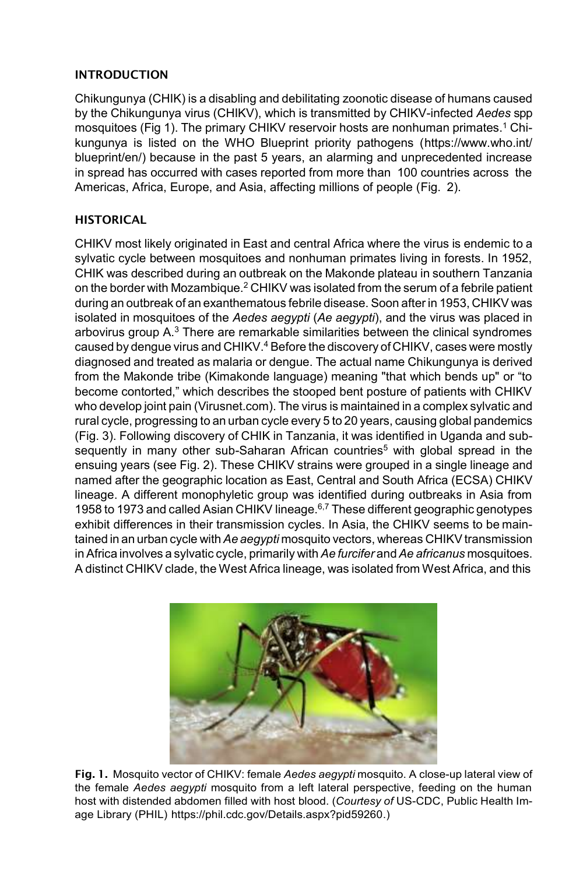## INTRODUCTION

Chikungunya (CHIK) is a disabling and debilitating zoonotic disease of humans caused by the Chikungunya virus (CHIKV), which is transmitted by CHIKV-infected *Aedes* spp mosquitoes [\(Fig](#page-1-0) 1)[.](#page-17-0) The primary CHIKV reservoir hosts are nonhuman primates.<sup>1</sup> Chikungunya is listed on the WHO Blueprint priority pathogens [\(https://www.who.int/](https://www.who.int/blueprint/en/) [blueprint/en/\)](https://www.who.int/blueprint/en/) because in the past 5 years, an alarming and unprecedented increase in spread has occurred with cases reported from more than 100 countries across the Americas, Africa, Europe, and Asia, affecting millions of people [\(Fig.](#page-2-0) 2).

## **HISTORICAL**

CHIKV most likely originated in East and central Africa where the virus is endemic to a sylvatic cycle between mosquitoes and nonhuman primates living in forests. In 1952, CHIK was described during an outbreak on the Makonde plateau in southern Tanzania on the border with Mozambiqu[e.](#page-17-1)<sup>2</sup> CHIKV was isolated from the serum of a febrile patient during an outbreak of an exanthematous febrile disease. Soon after in 1953, CHIKV was isolated in mosquitoes of the *Aedes aegypti* (*Ae aegypti*), and the virus was placed in arbovirus group  $A<sup>3</sup>$  There are remarkable similarities between the clinical syndromes caused by dengue virus and CHIKV.<sup>4</sup> [B](#page-18-1)efore the discovery of CHIKV, cases were mostly diagnosed and treated as malaria or dengue. The actual name Chikungunya is derived from the Makonde tribe (Kimakonde language) meaning "that which bends up" or "to become contorted," which describes the stooped bent posture of patients with CHIKV who develop joint pain [\(Virusnet.com\)](http://virusnet.com/). The virus is maintained in a complex sylvatic and rural cycle, progressing to an urban cycle every 5 to 20 years, causing global pandemics [\(Fig.](#page-2-1) 3). Following discovery of CHIK in Tanzania, it was identified in Uganda and sub-sequently in many other sub-Saharan African countries<sup>[5](#page-18-2)</sup> with global spread in the ensuing years (see [Fig.](#page-2-0) 2). These CHIKV strains were grouped in a single lineage and named after the geographic location as East, Central and South Africa (ECSA) CHIKV lineage. A different monophyletic group was identified during outbreaks in Asia from 1958 to 1973 and called Asian CHIKV lineage.<sup>[6,7](#page-18-3)</sup> These different geographic genotypes exhibit differences in their transmission cycles. In Asia, the CHIKV seems to be maintained in an urban cycle with Ae *aegypti* mosquito vectors, whereas CHIKV transmission inAfrica involves a sylvatic cycle, primarily with *Ae furcifer* and*Ae africanus* mosquitoes. A distinct CHIKV clade, the West Africa lineage, was isolated from West Africa, and this

<span id="page-1-0"></span>

Fig. 1. Mosquito vector of CHIKV: female *Aedes aegypti* mosquito. A close-up lateral view of the female *Aedes aegypti* mosquito from a left lateral perspective, feeding on the human host with distended abdomen filled with host blood. (*Courtesy of* US-CDC, Public Health Image Library (PHIL) [https://phil.cdc.gov/Details.aspx?pid59260.](https://phil.cdc.gov/Details.aspx?pid=9260))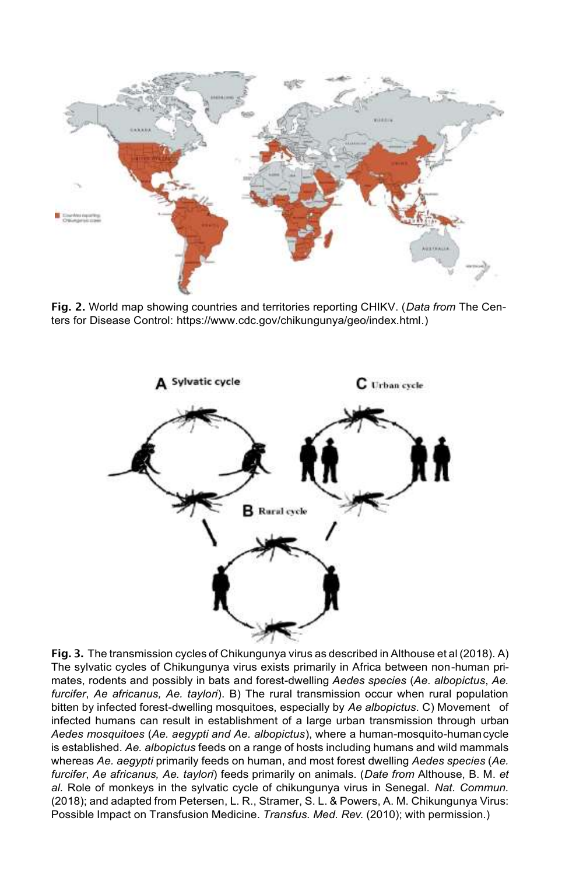

<span id="page-2-0"></span>Fig. 2. World map showing countries and territories reporting CHIKV. (*Data from* The Centers for Disease Control[: https://www.cdc.gov/chikungunya/geo/index.html.](https://www.cdc.gov/chikungunya/geo/index.html))



<span id="page-2-1"></span>Fig. 3. The transmission cycles of Chikungunya virus as described in Althouse et al (2018). A) The sylvatic cycles of Chikungunya virus exists primarily in Africa between non-human primates, rodents and possibly in bats and forest-dwelling *Aedes species* (*Ae. albopictus*, *Ae. furcifer*, *Ae africanus, Ae. taylori*). B) The rural transmission occur when rural population bitten by infected forest-dwelling mosquitoes, especially by *Ae albopictus*. C) Movement of infected humans can result in establishment of a large urban transmission through urban *Aedes mosquitoes* (*Ae. aegypti and Ae. albopictus*), where a human-mosquito-humancycle is established. *Ae. albopictus* feeds on a range of hosts including humans and wild mammals whereas *Ae. aegypti* primarily feeds on human, and most forest dwelling *Aedes species* (*Ae. furcifer*, *Ae africanus, Ae. taylori*) feeds primarily on animals. (*Date from* Althouse, B. M. *et al.* Role of monkeys in the sylvatic cycle of chikungunya virus in Senegal. *Nat. Commun.*  (2018); and adapted from Petersen, L. R., Stramer, S. L. & Powers, A. M. Chikungunya Virus: Possible Impact on Transfusion Medicine. *Transfus. Med. Rev.* (2010); with permission.)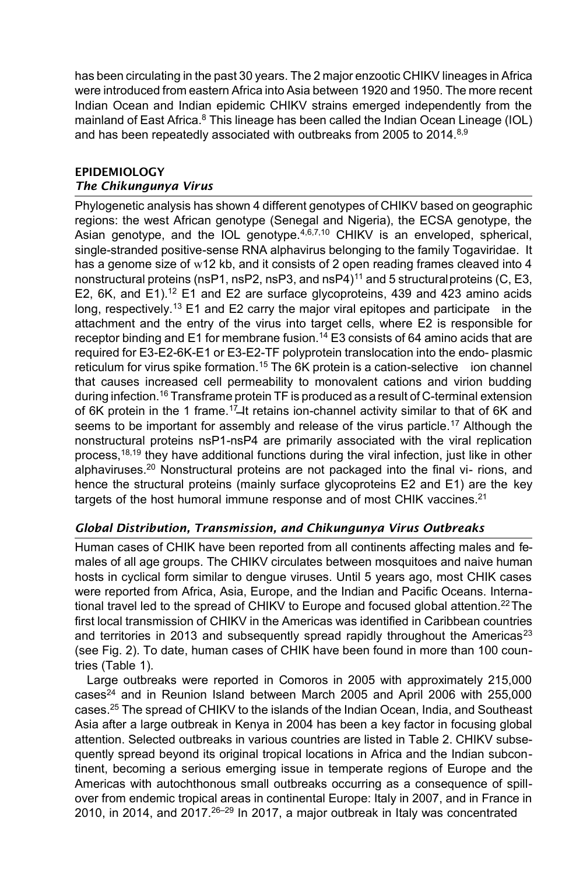has been circulating in the past 30 years. The 2 major enzootic CHIKV lineages in Africa were introduced from eastern Africa into Asia between 1920 and 1950. The more recent Indian Ocean and Indian epidemic CHIKV strains emerged independently from the mainland of East Africa[.](#page-18-4)<sup>8</sup> This lineage has been called the Indian Ocean Lineage (IOL) and has been repeatedly associated with outbreaks from 2005 to 2014.[8,9](#page-18-4)

## **EPIDEMIOLOGY** *The Chikungunya Virus*

during infection.'<sup>6</sup> Transframe protein TF is produced as a result of C[-](#page-18-11)terminal extension<br>of 6K protein in the 1 frame.<sup>17</sup>–It retains ion-channel activity similar to that of 6K and Phylogenetic analysis has shown 4 different genotypes of CHIKV based on geographic regions: the west African genotype (Senegal and Nigeria), the ECSA genotype, the Asian genotype, and the IOL genotype.  $4,6,7,10$  CHIKV is an enveloped, spherical, single-stranded positive-sense RNA alphavirus belonging to the family Togaviridae. It has a genome size of w12 kb, and it consists of 2 open reading frames cleaved into 4 nonstructural proteins (nsP1, nsP2, nsP3, and nsP4)<sup>[11](#page-18-5)</sup> and 5 structural proteins (C, E3, E2, 6K, and E1).<sup>[12](#page-18-6)</sup> E1 and E2 are surface glycoproteins, 439 and 423 amino acids long, respectively.<sup>[13](#page-18-7)</sup> E1 and E2 carry the major viral epitopes and participate in the attachment and the entry of the virus into target cells, where E2 is responsible for receptor binding and E1 for membrane fusion.<sup>[14](#page-18-8)</sup> E3 consists of 64 amino acids that are required for E3-E2-6K-E1 or E3-E2-TF polyprotein translocation into the endo- plasmic reticulum for virus spike formation.[15](#page-18-9) The 6K protein is a cation-selective ion channel that causes increased cell permeability to monovalent cations and virion budding during infection.[16](#page-18-10) Transframe protein TF is produced as a result of C-terminal extension seems to be important for assembly and release of the virus particle.<sup>[17](#page-18-11)</sup> Although the nonstructural proteins nsP1-nsP4 are primarily associated with the viral replication process,[18,19](#page-18-12) they have additional functions during the viral infection, just like in other alphaviruses.[20](#page-18-13) Nonstructural proteins are not packaged into the final vi- rions, and hence the structural proteins (mainly surface glycoproteins E2 and E1) are the key targets of the host humoral immune response and of most CHIK vaccines.<sup>[21](#page-18-14)</sup>

# *Global Distribution, Transmission, and Chikungunya Virus Outbreaks*

Human cases of CHIK have been reported from all continents affecting males and females of all age groups. The CHIKV circulates between mosquitoes and naive human hosts in cyclical form similar to dengue viruses. Until 5 years ago, most CHIK cases were reported from Africa, Asia, Europe, and the Indian and Pacific Oceans. Interna-tional travel led to the spread of CHIKV to Europe and focused global attention.<sup>[22](#page-18-15)</sup>The first local transmission of CHIKV in the Americas was identified in Caribbean countries and territories in 2013 and subsequently spread rapidly throughout the Americas<sup>[23](#page-18-16)</sup> (se[e Fig. 2\)](#page-2-0). To date, human cases of CHIK have been found in more than 100 countries [\(Table](#page-4-0) 1).

Large outbreaks were reported in Comoros in 2005 with approximately 215,000  $\text{cases}^{\text{24}}$  $\text{cases}^{\text{24}}$  $\text{cases}^{\text{24}}$  and in Reunion Island between March 2005 and April 2006 with 255,000 cases.[25](#page-19-1) The spread of CHIKV to the islands of the Indian Ocean, India, and Southeast Asia after a large outbreak in Kenya in 2004 has been a key factor in focusing global attention. Selected outbreaks in various countries are listed in [Table](#page-5-0) 2. CHIKV subsequently spread beyond its original tropical locations in Africa and the Indian subcontinent, becoming a serious emerging issue in temperate regions of Europe and the Americas with autochthonous small outbreaks occurring as a consequence of spillover from endemic tropical areas in continental Europe: Italy in 2007, and in France in 2010, in 2014, and 2017. $26-29$  $26-29$  In 2017, a major outbreak in Italy was concentrated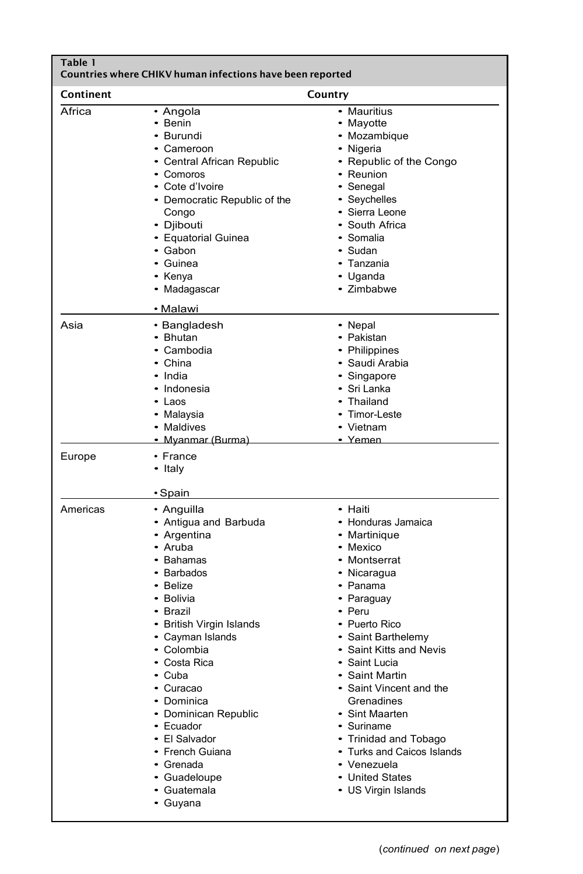<span id="page-4-0"></span>

| Table 1<br>Countries where CHIKV human infections have been reported |                                                                                                                                                                                                                                                                                                                                                                                   |                                                                                                                                                                                                                                                                                                                                                                                                                            |  |
|----------------------------------------------------------------------|-----------------------------------------------------------------------------------------------------------------------------------------------------------------------------------------------------------------------------------------------------------------------------------------------------------------------------------------------------------------------------------|----------------------------------------------------------------------------------------------------------------------------------------------------------------------------------------------------------------------------------------------------------------------------------------------------------------------------------------------------------------------------------------------------------------------------|--|
| Continent                                                            | Country                                                                                                                                                                                                                                                                                                                                                                           |                                                                                                                                                                                                                                                                                                                                                                                                                            |  |
| Africa                                                               | • Angola<br>$\cdot$ Benin<br>• Burundi<br>• Cameroon<br>• Central African Republic<br>• Comoros<br>• Cote d'Ivoire<br>• Democratic Republic of the<br>Congo<br>• Djibouti<br>• Equatorial Guinea<br>• Gabon<br>• Guinea<br>• Kenya<br>• Madagascar                                                                                                                                | • Mauritius<br>• Mayotte<br>• Mozambique<br>• Nigeria<br>• Republic of the Congo<br>• Reunion<br>• Senegal<br>• Seychelles<br>• Sierra Leone<br>• South Africa<br>• Somalia<br>• Sudan<br>• Tanzania<br>• Uganda<br>• Zimbabwe                                                                                                                                                                                             |  |
| Asia<br>Europe                                                       | • Malawi<br>• Bangladesh<br>• Bhutan<br>• Cambodia<br>• China<br>• India<br>• Indonesia<br>• Laos<br>• Malaysia<br>• Maldives<br><u>• Myanmar (Burma)</u><br>$\cdot$ France                                                                                                                                                                                                       | • Nepal<br>• Pakistan<br>• Philippines<br>• Saudi Arabia<br>• Singapore<br>• Sri Lanka<br>• Thailand<br>• Timor-Leste<br>• Vietnam<br>• Yemen                                                                                                                                                                                                                                                                              |  |
|                                                                      | • Italy<br><u>•Spain</u>                                                                                                                                                                                                                                                                                                                                                          |                                                                                                                                                                                                                                                                                                                                                                                                                            |  |
| Americas                                                             | • Anguilla<br>• Antigua and Barbuda<br>• Argentina<br>• Aruba<br>• Bahamas<br>• Barbados<br>• Belize<br>• Bolivia<br>• Brazil<br>• British Virgin Islands<br>• Cayman Islands<br>• Colombia<br>• Costa Rica<br>• Cuba<br>• Curacao<br>• Dominica<br>• Dominican Republic<br>• Ecuador<br>• El Salvador<br>• French Guiana<br>• Grenada<br>• Guadeloupe<br>• Guatemala<br>• Guyana | • Haiti<br>• Honduras Jamaica<br>• Martinique<br>• Mexico<br>• Montserrat<br>• Nicaragua<br>• Panama<br>• Paraguay<br>• Peru<br>• Puerto Rico<br>• Saint Barthelemy<br>• Saint Kitts and Nevis<br>• Saint Lucia<br>• Saint Martin<br>• Saint Vincent and the<br>Grenadines<br>• Sint Maarten<br>• Suriname<br>• Trinidad and Tobago<br>• Turks and Caicos Islands<br>• Venezuela<br>• United States<br>• US Virgin Islands |  |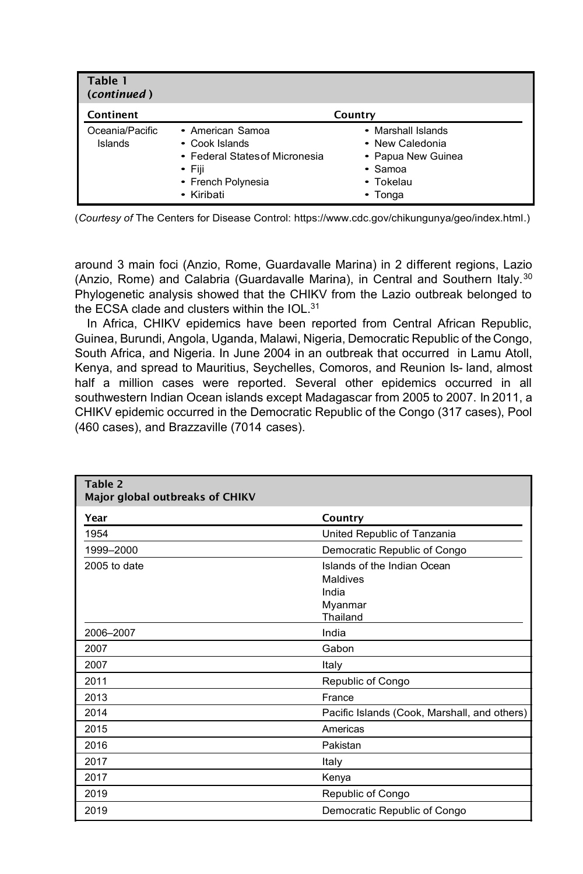| Table 1<br>(continued)     |                                                                                                                          |                                                                                                |
|----------------------------|--------------------------------------------------------------------------------------------------------------------------|------------------------------------------------------------------------------------------------|
| Continent                  | Country                                                                                                                  |                                                                                                |
| Oceania/Pacific<br>Islands | • American Samoa<br>• Cook Islands<br>• Federal States of Micronesia<br>$\cdot$ Fiji<br>• French Polynesia<br>• Kiribati | • Marshall Islands<br>• New Caledonia<br>• Papua New Guinea<br>• Samoa<br>• Tokelau<br>• Tonga |

(*Courtesy of* The Centers for Disease Control: [https://www.cdc.gov/chikungunya/geo/index.html.](https://www.cdc.gov/chikungunya/geo/index.html))

around 3 main foci (Anzio, Rome, Guardavalle Marina) in 2 different regions, Lazio (Anzio, Rome) and Calabria (Guardavalle Marina), in Central and Southern Italy.<sup>[30](#page-19-3)</sup> Phylogenetic analysis showed that the CHIKV from the Lazio outbreak belonged to the ECSA clade and clusters within the IOL.<sup>[31](#page-19-4)</sup>

In Africa, CHIKV epidemics have been reported from Central African Republic, Guinea, Burundi, Angola, Uganda, Malawi, Nigeria, Democratic Republic of the Congo, South Africa, and Nigeria. In June 2004 in an outbreak that occurred in Lamu Atoll, Kenya, and spread to Mauritius, Seychelles, Comoros, and Reunion Is- land, almost half a million cases were reported. Several other epidemics occurred in all southwestern Indian Ocean islands except Madagascar from 2005 to 2007. In 2011, a CHIKV epidemic occurred in the Democratic Republic of the Congo (317 cases), Pool (460 cases), and Brazzaville (7014 cases).

<span id="page-5-0"></span>

| Table 2<br>Major global outbreaks of CHIKV |                                                                                |
|--------------------------------------------|--------------------------------------------------------------------------------|
| Year                                       | Country                                                                        |
| 1954                                       | United Republic of Tanzania                                                    |
| 1999-2000                                  | Democratic Republic of Congo                                                   |
| $2005$ to date                             | Islands of the Indian Ocean<br><b>Maldives</b><br>India<br>Myanmar<br>Thailand |
| 2006-2007                                  | India                                                                          |
| 2007                                       | Gabon                                                                          |
| 2007                                       | Italy                                                                          |
| 2011                                       | Republic of Congo                                                              |
| 2013                                       | France                                                                         |
| 2014                                       | Pacific Islands (Cook, Marshall, and others)                                   |
| 2015                                       | Americas                                                                       |
| 2016                                       | Pakistan                                                                       |
| 2017                                       | Italy                                                                          |
| 2017                                       | Kenya                                                                          |
| 2019                                       | Republic of Congo                                                              |
| 2019                                       | Democratic Republic of Congo                                                   |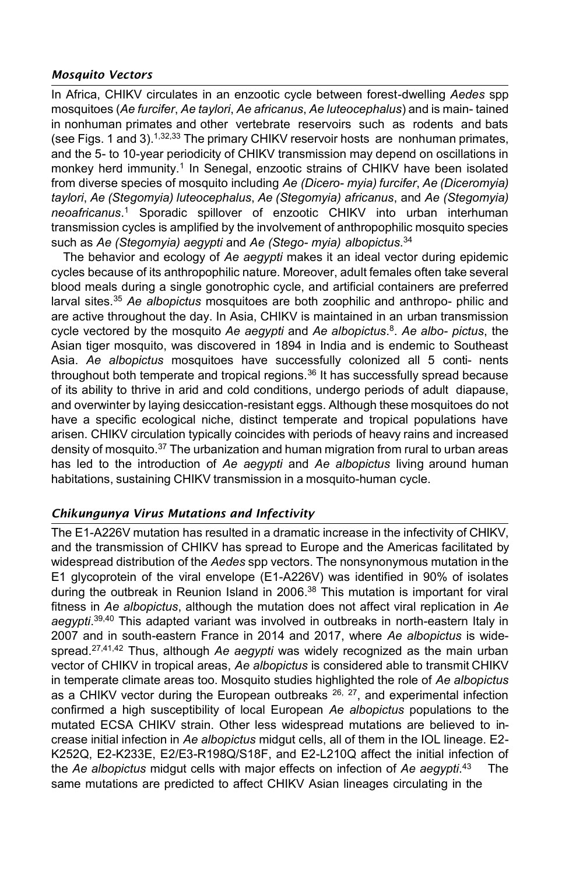## *Mosquito Vectors*

In Africa, CHIKV circulates in an enzootic cycle between forest-dwelling *Aedes* spp mosquitoes (*Ae furcifer*, *Ae taylori*, *Ae africanus*, *Ae luteocephalus*) and is main- tained in nonhuman primates and other vertebrate reservoirs such as rodents and bats (se[e Figs. 1](#page-1-0) an[d 3\)](#page-2-1).<sup>[1,32,33](#page-17-0)</sup> The primary CHIKV reservoir hosts are nonhuman primates, and the 5- to 10-year periodicity of CHIKV transmission may depend on oscillations in monkey herd immunity.<sup>[1](#page-17-0)</sup> In Senegal, enzootic strains of CHIKV have been isolated from diverse species of mosquito including *Ae (Dicero- myia) furcifer*, *Ae (Diceromyia) taylori*, *Ae (Stegomyia) luteocephalus*, *Ae (Stegomyia) africanus*, and *Ae (Stegomyia) neoafricanus*. [1](#page-17-0) Sporadic spillover of enzootic CHIKV into urban interhuman transmission cycles is amplified by the involvement of anthropophilic mosquito species such as *Ae (Stegomyia) aegypti* and *Ae (Stego- myia) albopictus*. [34](#page-19-5)

The behavior and ecology of *Ae aegypti* makes it an ideal vector during epidemic cycles because of its anthropophilic nature. Moreover, adult females often take several blood meals during a single gonotrophic cycle, and artificial containers are preferred larval sites.[35](#page-19-6) *Ae albopictus* mosquitoes are both zoophilic and anthropo- philic and are active throughout the day. In Asia, CHIKV is maintained in an urban transmission cycle vectored by the mosquito *Ae aegypti* and *Ae albopictus*[.](#page-18-4) 8 . *Ae albo- pictus*, the Asian tiger mosquito, was discovered in 1894 in India and is endemic to Southeast Asia. *Ae albopictus* mosquitoes have successfully colonized all 5 conti- nents throughout both temperate and tropical regions. $36$  It has successfully spread because of its ability to thrive in arid and cold conditions, undergo periods of adult diapause, and overwinter by laying desiccation-resistant eggs. Although these mosquitoes do not have a specific ecological niche, distinct temperate and tropical populations have arisen. CHIKV circulation typically coincides with periods of heavy rains and increased density of mosquito.[37](#page-19-8) The urbanization and human migration from rural to urban areas has led to the introduction of *Ae aegypti* and *Ae albopictus* living around human habitations, sustaining CHIKV transmission in a mosquito-human cycle.

## *Chikungunya Virus Mutations and Infectivity*

The E1-A226V mutation has resulted in a dramatic increase in the infectivity of CHIKV, and the transmission of CHIKV has spread to Europe and the Americas facilitated by widespread distribution of the *Aedes* spp vectors. The nonsynonymous mutation in the E1 glycoprotein of the viral envelope (E1-A226V) was identified in 90% of isolates during the outbreak in Reunion Island in 2006.<sup>[38](#page-19-9)</sup> This mutation is important for viral fitness in *Ae albopictus*, although the mutation does not affect viral replication in *Ae aegypti*. [39,40](#page-19-10) This adapted variant was involved in outbreaks in north-eastern Italy in 2007 and in south-eastern France in 2014 and 2017, where *Ae albopictus* is widespread.[27,41,42](#page-19-11) Thus, although *Ae aegypti* was widely recognized as the main urban vector of CHIKV in tropical areas, *Ae albopictus* is considered able to transmit CHIKV in temperate climate areas too. Mosquito studies highlighted the role of *Ae albopictus*  as a CHIKV vector during the European outbreaks  $^{26, 27}$  $^{26, 27}$  $^{26, 27}$ , and experimental infection confirmed a high susceptibility of local European *Ae albopictus* populations to the mutated ECSA CHIKV strain. Other less widespread mutations are believed to increase initial infection in *Ae albopictus* midgut cells, all of them in the IOL lineage. E2- K252Q, E2-K233E, E2/E3-R198Q/S18F, and E2-L210Q affect the initial infection of the *Ae albopictus* midgut cells with major effects on infection of *Ae aegypti*. [43](#page-19-12) The same mutations are predicted to affect CHIKV Asian lineages circulating in the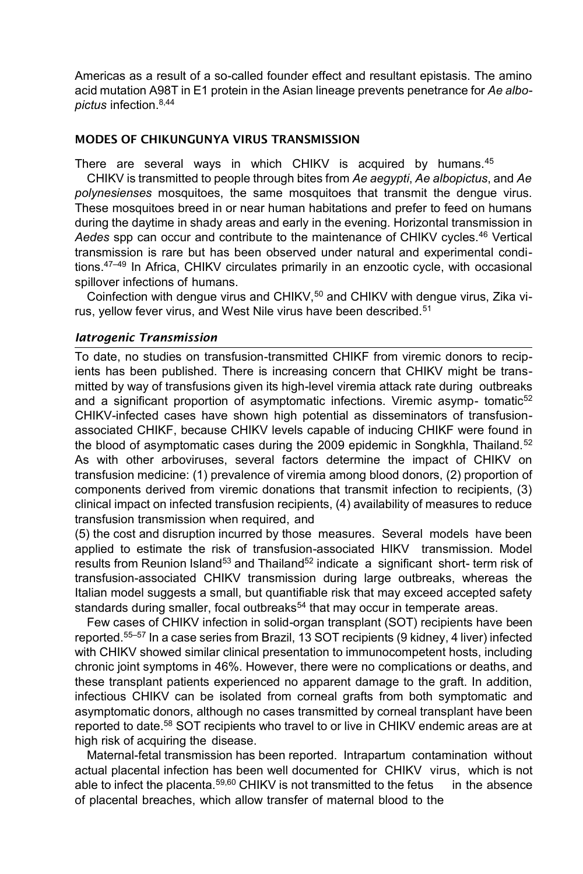Americas as a result of a so-called founder effect and resultant epistasis. The amino acid mutation A98T in E1 protein in the Asian lineage prevents penetrance for *Ae albopictus* infection.[8,44](#page-18-4)

### MODES OF CHIKUNGUNYA VIRUS TRANSMISSION

There are several ways in which CHIKV is acquired by humans.<sup>[45](#page-21-0)</sup>

CHIKV is transmitted to people through bites from *Ae aegypti*, *Ae albopictus*, and *Ae polynesienses* mosquitoes, the same mosquitoes that transmit the dengue virus. These mosquitoes breed in or near human habitations and prefer to feed on humans during the daytime in shady areas and early in the evening. Horizontal transmission in *Aedes* spp can occur and contribute to the maintenance of CHIKV cycles.[46](#page-21-1) Vertical transmission is rare but has been observed under natural and experimental conditions.[47](#page-21-2)–<sup>49</sup> In Africa, CHIKV circulates primarily in an enzootic cycle, with occasional spillover infections of humans.

Coinfection with dengue virus and CHIKV,<sup>[50](#page-21-3)</sup> and CHIKV with dengue virus, Zika vi-rus, yellow fever virus, and West Nile virus have been described.<sup>[51](#page-21-4)</sup>

#### *Iatrogenic Transmission*

To date, no studies on transfusion-transmitted CHIKF from viremic donors to recipients has been published. There is increasing concern that CHIKV might be transmitted by way of transfusions given its high-level viremia attack rate during outbreaks and a significant proportion of asymptomatic infections. Viremic asymp- tomatic $52$ CHIKV-infected cases have shown high potential as disseminators of transfusionassociated CHIKF, because CHIKV levels capable of inducing CHIKF were found in the blood of asymptomatic cases during the 2009 epidemic in Songkhla, Thailand.<sup>[52](#page-21-5)</sup> As with other arboviruses, several factors determine the impact of CHIKV on transfusion medicine: (1) prevalence of viremia among blood donors, (2) proportion of components derived from viremic donations that transmit infection to recipients, (3) clinical impact on infected transfusion recipients, (4) availability of measures to reduce transfusion transmission when required, and

(5) the cost and disruption incurred by those measures. Several models have been applied to estimate the risk of transfusion-associated HIKV transmission. Model results from Reunion Island<sup>[53](#page-21-6)</sup> and Thailand<sup>[52](#page-21-5)</sup> indicate a significant short- term risk of transfusion-associated CHIKV transmission during large outbreaks, whereas the Italian model suggests a small, but quantifiable risk that may exceed accepted safety standards during smaller, focal outbreaks<sup>[54](#page-21-7)</sup> that may occur in temperate areas.

Few cases of CHIKV infection in solid-organ transplant (SOT) recipients have been reported.[55](#page-21-8)–<sup>57</sup> In a case series from Brazil, 13 SOT recipients (9 kidney, 4 liver) infected with CHIKV showed similar clinical presentation to immunocompetent hosts, including chronic joint symptoms in 46%. However, there were no complications or deaths, and these transplant patients experienced no apparent damage to the graft. In addition, infectious CHIKV can be isolated from corneal grafts from both symptomatic and asymptomatic donors, although no cases transmitted by corneal transplant have been reported to date.[58](#page-21-9) SOT recipients who travel to or live in CHIKV endemic areas are at high risk of acquiring the disease.

Maternal-fetal transmission has been reported. Intrapartum contamination without actual placental infection has been well documented for CHIKV virus, which is not able to infect the placenta.<sup>[59,60](#page-21-10)</sup> CHIKV is not transmitted to the fetus in the absence of placental breaches, which allow transfer of maternal blood to the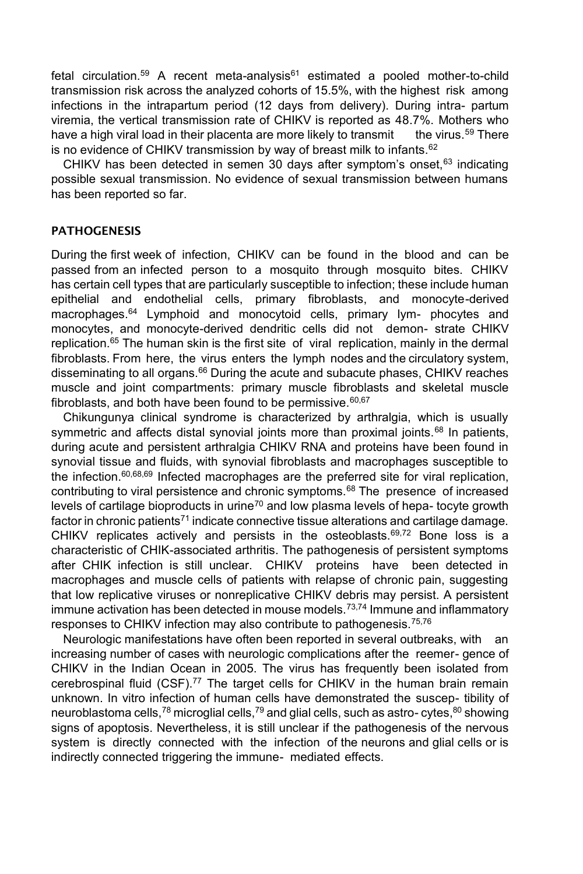fetal circulation.<sup>[59](#page-21-10)</sup> A recent meta-analysis<sup>[61](#page-21-11)</sup> estimated a pooled mother-to-child transmission risk across the analyzed cohorts of 15.5%, with the highest risk among infections in the intrapartum period (12 days from delivery). During intra- partum viremia, the vertical transmission rate of CHIKV is reported as 48.7%. Mothers who have a high viral load in their placenta are more likely to transmit the virus.<sup>[59](#page-21-10)</sup> There is no evidence of CHIKV transmission by way of breast milk to infants.<sup>[62](#page-21-12)</sup>

CHIKV has been detected in semen 30 days after symptom's onset, $63$  indicating possible sexual transmission. No evidence of sexual transmission between humans has been reported so far.

### **PATHOGENESIS**

During the first week of infection, CHIKV can be found in the blood and can be passed from an infected person to a mosquito through mosquito bites. CHIKV has certain cell types that are particularly susceptible to infection; these include human epithelial and endothelial cells, primary fibroblasts, and monocyte-derived macrophages.<sup>[64](#page-22-1)</sup> Lymphoid and monocytoid cells, primary lym- phocytes and monocytes, and monocyte-derived dendritic cells did not demon- strate CHIKV replication.<sup>[65](#page-22-2)</sup> The human skin is the first site of viral replication, mainly in the dermal fibroblasts. From here, the virus enters the lymph nodes and the circulatory system, disseminating to all organs.<sup>[66](#page-22-3)</sup> During the acute and subacute phases, CHIKV reaches muscle and joint compartments: primary muscle fibroblasts and skeletal muscle fibroblasts, and both have been found to be permissive.  $60,67$ 

Chikungunya clinical syndrome is characterized by arthralgia, which is usually symmetric and affects distal synovial joints more than proximal joints. $68$  In patients, during acute and persistent arthralgia CHIKV RNA and proteins have been found in synovial tissue and fluids, with synovial fibroblasts and macrophages susceptible to the infection.[60,68,69](#page-21-13) Infected macrophages are the preferred site for viral replication, contributing to viral persistence and chronic symptoms.<sup>[68](#page-22-4)</sup> The presence of increased levels of cartilage bioproducts in urine<sup>[70](#page-22-5)</sup> and low plasma levels of hepa- tocyte growth factor in chronic patients<sup>[71](#page-22-6)</sup> indicate connective tissue alterations and cartilage damage. CHIKV replicates actively and persists in the osteoblasts. $69,72$  Bone loss is a characteristic of CHIK-associated arthritis. The pathogenesis of persistent symptoms after CHIK infection is still unclear. CHIKV proteins have been detected in macrophages and muscle cells of patients with relapse of chronic pain, suggesting that low replicative viruses or nonreplicative CHIKV debris may persist. A persistent immune activation has been detected in mouse models.<sup>[73,74](#page-22-8)</sup> Immune and inflammatory responses to CHIKV infection may also contribute to pathogenesis.<sup>[75,76](#page-22-9)</sup>

Neurologic manifestations have often been reported in several outbreaks, with an increasing number of cases with neurologic complications after the reemer- gence of CHIKV in the Indian Ocean in 2005. The virus has frequently been isolated from cerebrospinal fluid  $(CSF)$ .<sup>[77](#page-22-10)</sup> The target cells for CHIKV in the human brain remain unknown. In vitro infection of human cells have demonstrated the suscep- tibility of neuroblastoma cells,<sup>[78](#page-22-11)</sup> microglial cells,<sup>[79](#page-22-12)</sup> and glial cells, such as astro- cytes, $80$  showing signs of apoptosis. Nevertheless, it is still unclear if the pathogenesis of the nervous system is directly connected with the infection of the neurons and glial cells or is indirectly connected triggering the immune- mediated effects.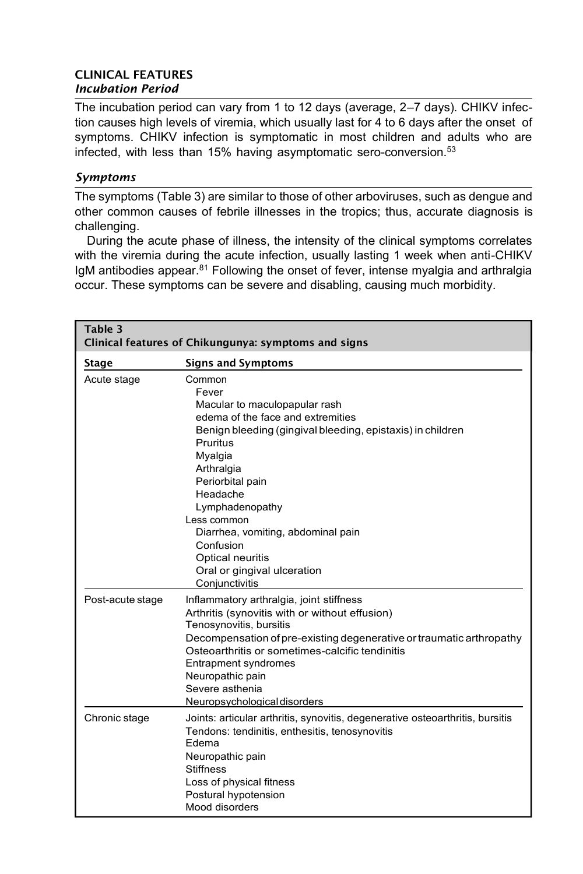## CLINICAL FEATURES *Incubation Period*

The incubation period can vary from 1 to 12 days (average, 2–7 days). CHIKV infection causes high levels of viremia, which usually last for 4 to 6 days after the onset of symptoms. CHIKV infection is symptomatic in most children and adults who are infected, with less than 15% having asymptomatic sero-conversion.<sup>[53](#page-21-6)</sup>

### *Symptoms*

The symptoms [\(Table](#page-9-0) 3) are similar to those of other arboviruses, such as dengue and other common causes of febrile illnesses in the tropics; thus, accurate diagnosis is challenging.

During the acute phase of illness, the intensity of the clinical symptoms correlates with the viremia during the acute infection, usually lasting 1 week when anti-CHIKV IgM antibodies appear. $81$  Following the onset of fever, intense myalgia and arthralgia occur. These symptoms can be severe and disabling, causing much morbidity.

<span id="page-9-0"></span>

| Table 3<br>Clinical features of Chikungunya: symptoms and signs |                                                                                                                                                                                                                                                                                                                                                                                    |  |
|-----------------------------------------------------------------|------------------------------------------------------------------------------------------------------------------------------------------------------------------------------------------------------------------------------------------------------------------------------------------------------------------------------------------------------------------------------------|--|
| Stage                                                           | <b>Signs and Symptoms</b>                                                                                                                                                                                                                                                                                                                                                          |  |
| Acute stage                                                     | Common<br>Fever<br>Macular to maculopapular rash<br>edema of the face and extremities<br>Benign bleeding (gingival bleeding, epistaxis) in children<br>Pruritus<br>Myalgia<br>Arthralgia<br>Periorbital pain<br>Headache<br>Lymphadenopathy<br>Less common<br>Diarrhea, vomiting, abdominal pain<br>Confusion<br>Optical neuritis<br>Oral or gingival ulceration<br>Conjunctivitis |  |
| Post-acute stage                                                | Inflammatory arthralgia, joint stiffness<br>Arthritis (synovitis with or without effusion)<br>Tenosynovitis, bursitis<br>Decompensation of pre-existing degenerative or traumatic arthropathy<br>Osteoarthritis or sometimes-calcific tendinitis<br>Entrapment syndromes<br>Neuropathic pain<br>Severe asthenia<br>Neuropsychological disorders                                    |  |
| Chronic stage                                                   | Joints: articular arthritis, synovitis, degenerative osteoarthritis, bursitis<br>Tendons: tendinitis, enthesitis, tenosynovitis<br>Edema<br>Neuropathic pain<br><b>Stiffness</b><br>Loss of physical fitness<br>Postural hypotension<br>Mood disorders                                                                                                                             |  |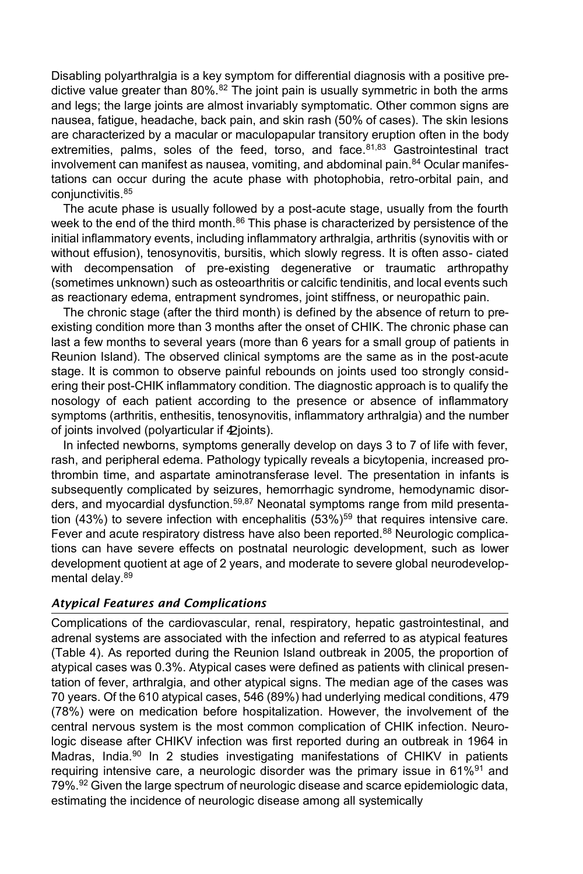Disabling polyarthralgia is a key symptom for differential diagnosis with a positive pre-dictive value greater than 80%.<sup>[82](#page-23-0)</sup> The joint pain is usually symmetric in both the arms and legs; the large joints are almost invariably symptomatic. Other common signs are nausea, fatigue, headache, back pain, and skin rash (50% of cases). The skin lesions are characterized by a macular or maculopapular transitory eruption often in the body extremities, palms, soles of the feed, torso, and face.<sup>[81,83](#page-22-14)</sup> Gastrointestinal tract involvement can manifest as nausea, vomiting, and abdominal pain.<sup>[84](#page-23-1)</sup> Ocular manifestations can occur during the acute phase with photophobia, retro-orbital pain, and conjunctivitis.<sup>[85](#page-23-2)</sup>

The acute phase is usually followed by a post-acute stage, usually from the fourth week to the end of the third month.<sup>[86](#page-23-3)</sup> This phase is characterized by persistence of the initial inflammatory events, including inflammatory arthralgia, arthritis (synovitis with or without effusion), tenosynovitis, bursitis, which slowly regress. It is often asso- ciated with decompensation of pre-existing degenerative or traumatic arthropathy (sometimes unknown) such as osteoarthritis or calcific tendinitis, and local events such as reactionary edema, entrapment syndromes, joint stiffness, or neuropathic pain.

of joints involved (polyarticular if  $\boldsymbol{\mathfrak{L}}$  joints). The chronic stage (after the third month) is defined by the absence of return to preexisting condition more than 3 months after the onset of CHIK. The chronic phase can last a few months to several years (more than 6 years for a small group of patients in Reunion Island). The observed clinical symptoms are the same as in the post-acute stage. It is common to observe painful rebounds on joints used too strongly considering their post-CHIK inflammatory condition. The diagnostic approach is to qualify the nosology of each patient according to the presence or absence of inflammatory symptoms (arthritis, enthesitis, tenosynovitis, inflammatory arthralgia) and the number

In infected newborns, symptoms generally develop on days 3 to 7 of life with fever, rash, and peripheral edema. Pathology typically reveals a bicytopenia, increased prothrombin time, and aspartate aminotransferase level. The presentation in infants is subsequently complicated by seizures, hemorrhagic syndrome, hemodynamic disor-ders, and myocardial dysfunction.<sup>[59,87](#page-21-10)</sup> Neonatal symptoms range from mild presentation (43%) to severe infection with encephalitis  $(53\%)^{59}$  $(53\%)^{59}$  $(53\%)^{59}$  that requires intensive care. Fever and acute respiratory distress have also been reported.<sup>[88](#page-23-4)</sup> Neurologic complications can have severe effects on postnatal neurologic development, such as lower development quotient at age of 2 years, and moderate to severe global neurodevelopmental delay. [89](#page-23-5)

### *Atypical Features and Complications*

Complications of the cardiovascular, renal, respiratory, hepatic gastrointestinal, and adrenal systems are associated with the infection and referred to as atypical features [\(Table 4\)](#page-11-0). As reported during the Reunion Island outbreak in 2005, the proportion of atypical cases was 0.3%. Atypical cases were defined as patients with clinical presentation of fever, arthralgia, and other atypical signs. The median age of the cases was 70 years. Of the 610 atypical cases, 546 (89%) had underlying medical conditions, 479 (78%) were on medication before hospitalization. However, the involvement of the central nervous system is the most common complication of CHIK infection. Neurologic disease after CHIKV infection was first reported during an outbreak in 1964 in Madras, India.<sup>[90](#page-23-6)</sup> In 2 studies investigating manifestations of CHIKV in patients requiring intensive care, a neurologic disorder was the primary issue in 61%<sup>[91](#page-23-7)</sup> and 79%.[92](#page-23-8) Given the large spectrum of neurologic disease and scarce epidemiologic data, estimating the incidence of neurologic disease among all systemically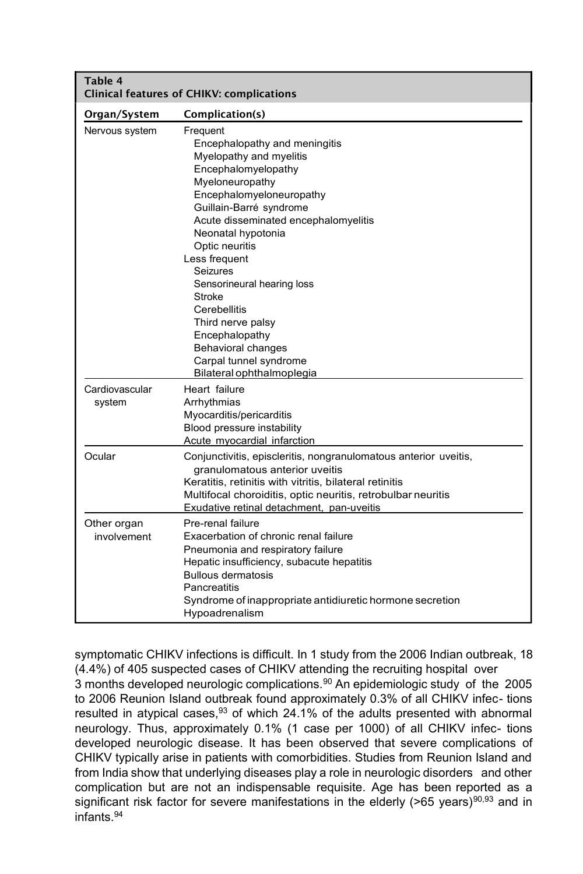<span id="page-11-0"></span>

| Table 4<br>Clinical features of CHIKV: complications |                                                                                                                                                                                                                                                                                                                                                                                                                                                                              |  |
|------------------------------------------------------|------------------------------------------------------------------------------------------------------------------------------------------------------------------------------------------------------------------------------------------------------------------------------------------------------------------------------------------------------------------------------------------------------------------------------------------------------------------------------|--|
| Organ/System                                         | Complication(s)                                                                                                                                                                                                                                                                                                                                                                                                                                                              |  |
| Nervous system                                       | Frequent<br>Encephalopathy and meningitis<br>Myelopathy and myelitis<br>Encephalomyelopathy<br>Myeloneuropathy<br>Encephalomyeloneuropathy<br>Guillain-Barré syndrome<br>Acute disseminated encephalomyelitis<br>Neonatal hypotonia<br>Optic neuritis<br>Less frequent<br><b>Seizures</b><br>Sensorineural hearing loss<br><b>Stroke</b><br>Cerebellitis<br>Third nerve palsy<br>Encephalopathy<br>Behavioral changes<br>Carpal tunnel syndrome<br>Bilateral ophthalmoplegia |  |
| Cardiovascular<br>system                             | Heart failure<br>Arrhythmias<br>Myocarditis/pericarditis<br>Blood pressure instability<br>Acute mvocardial infarction                                                                                                                                                                                                                                                                                                                                                        |  |
| Ocular                                               | Conjunctivitis, episcleritis, nongranulomatous anterior uveitis,<br>granulomatous anterior uveitis<br>Keratitis, retinitis with vitritis, bilateral retinitis<br>Multifocal choroiditis, optic neuritis, retrobulbar neuritis<br>Exudative retinal detachment, pan-uveitis                                                                                                                                                                                                   |  |
| Other organ<br>involvement                           | Pre-renal failure<br>Exacerbation of chronic renal failure<br>Pneumonia and respiratory failure<br>Hepatic insufficiency, subacute hepatitis<br><b>Bullous dermatosis</b><br>Pancreatitis<br>Syndrome of inappropriate antidiuretic hormone secretion<br>Hypoadrenalism                                                                                                                                                                                                      |  |

symptomatic CHIKV infections is difficult. In 1 study from the 2006 Indian outbreak, 18 (4.4%) of 405 suspected cases of CHIKV attending the recruiting hospital over 3 months developed neurologic complications.<sup>[90](#page-23-6)</sup> An epidemiologic study of the 2005 to 2006 Reunion Island outbreak found approximately 0.3% of all CHIKV infec- tions resulted in atypical cases,  $93$  of which 24.1% of the adults presented with abnormal neurology. Thus, approximately 0.1% (1 case per 1000) of all CHIKV infec- tions developed neurologic disease. It has been observed that severe complications of CHIKV typically arise in patients with comorbidities. Studies from Reunion Island and from India show that underlying diseases play a role in neurologic disorders and other complication but are not an indispensable requisite. Age has been reported as a significant risk factor for severe manifestations in the elderly (>65 years) $90,93$  and in infants.[94](#page-23-10)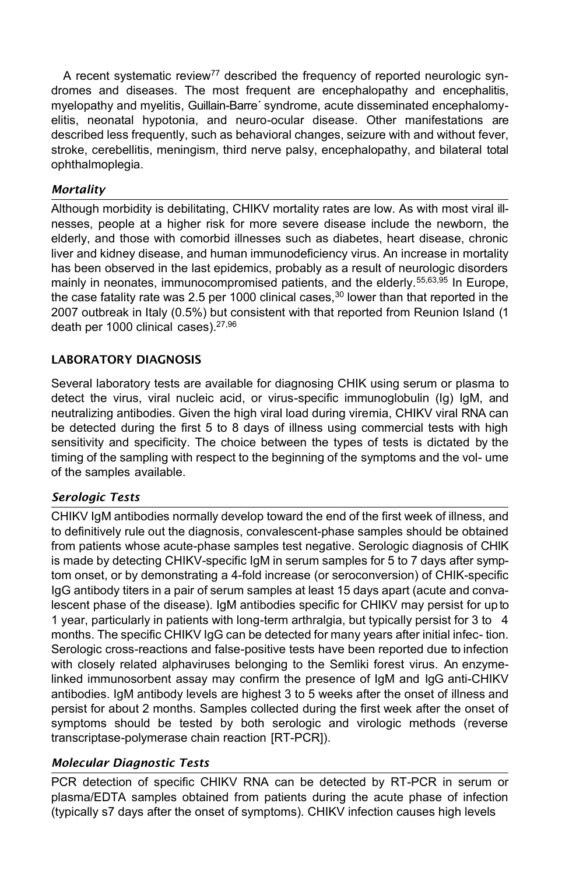A recent systematic review<sup>[77](#page-22-10)</sup> described the frequency of reported neurologic syndromes and diseases. The most frequent are encephalopathy and encephalitis, myelopathy and myelitis, Guillain-Barre´ syndrome, acute disseminated encephalomyelitis, neonatal hypotonia, and neuro-ocular disease. Other manifestations are described less frequently, such as behavioral changes, seizure with and without fever, stroke, cerebellitis, meningism, third nerve palsy, encephalopathy, and bilateral total ophthalmoplegia.

# *Mortality*

Although morbidity is debilitating, CHIKV mortality rates are low. As with most viral illnesses, people at a higher risk for more severe disease include the newborn, the elderly, and those with comorbid illnesses such as diabetes, heart disease, chronic liver and kidney disease, and human immunodeficiency virus. An increase in mortality has been observed in the last epidemics, probably as a result of neurologic disorders mainly in neonates, immunocompromised patients, and the elderly.<sup>[55,63,95](#page-21-8)</sup> In Europe, the case fatality rate was 2.5 per 1000 clinical cases,  $30$  lower than that reported in the 2007 outbreak in Italy (0.5%) but consistent with that reported from Reunion Island (1 death per 1000 clinical cases).<sup>[27,96](#page-19-11)</sup>

## LABORATORY DIAGNOSIS

Several laboratory tests are available for diagnosing CHIK using serum or plasma to detect the virus, viral nucleic acid, or virus-specific immunoglobulin (Ig) IgM, and neutralizing antibodies. Given the high viral load during viremia, CHIKV viral RNA can be detected during the first 5 to 8 days of illness using commercial tests with high sensitivity and specificity. The choice between the types of tests is dictated by the timing of the sampling with respect to the beginning of the symptoms and the vol- ume of the samples available.

## *Serologic Tests*

CHIKV IgM antibodies normally develop toward the end of the first week of illness, and to definitively rule out the diagnosis, convalescent-phase samples should be obtained from patients whose acute-phase samples test negative. Serologic diagnosis of CHIK is made by detecting CHIKV-specific IgM in serum samples for 5 to 7 days after symptom onset, or by demonstrating a 4-fold increase (or seroconversion) of CHIK-specific IgG antibody titers in a pair of serum samples at least 15 days apart (acute and convalescent phase of the disease). IgM antibodies specific for CHIKV may persist for upto 1 year, particularly in patients with long-term arthralgia, but typically persist for 3 to 4 months. The specific CHIKV IgG can be detected for many years after initial infec- tion. Serologic cross-reactions and false-positive tests have been reported due to infection with closely related alphaviruses belonging to the Semliki forest virus. An enzymelinked immunosorbent assay may confirm the presence of IgM and IgG anti-CHIKV antibodies. IgM antibody levels are highest 3 to 5 weeks after the onset of illness and persist for about 2 months. Samples collected during the first week after the onset of symptoms should be tested by both serologic and virologic methods (reverse transcriptase-polymerase chain reaction [RT-PCR]).

## *Molecular Diagnostic Tests*

PCR detection of specific CHIKV RNA can be detected by RT-PCR in serum or plasma/EDTA samples obtained from patients during the acute phase of infection (typically s7 days after the onset of symptoms). CHIKV infection causes high levels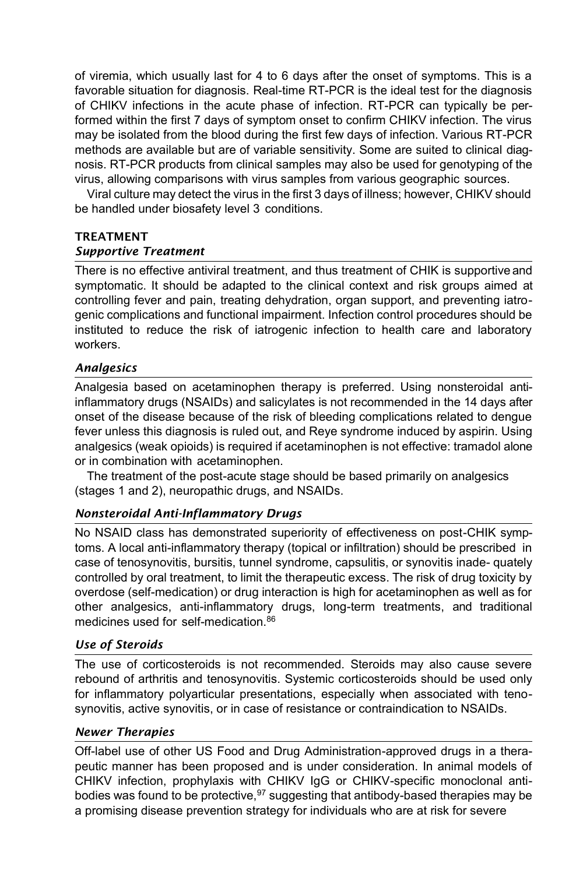of viremia, which usually last for 4 to 6 days after the onset of symptoms. This is a favorable situation for diagnosis. Real-time RT-PCR is the ideal test for the diagnosis of CHIKV infections in the acute phase of infection. RT-PCR can typically be performed within the first 7 days of symptom onset to confirm CHIKV infection. The virus may be isolated from the blood during the first few days of infection. Various RT-PCR methods are available but are of variable sensitivity. Some are suited to clinical diagnosis. RT-PCR products from clinical samples may also be used for genotyping of the virus, allowing comparisons with virus samples from various geographic sources.

Viral culture may detect the virus in the first 3 days of illness; however, CHIKV should be handled under biosafety level 3 conditions.

# TREATMENT

# *Supportive Treatment*

There is no effective antiviral treatment, and thus treatment of CHIK is supportive and symptomatic. It should be adapted to the clinical context and risk groups aimed at controlling fever and pain, treating dehydration, organ support, and preventing iatrogenic complications and functional impairment. Infection control procedures should be instituted to reduce the risk of iatrogenic infection to health care and laboratory workers.

# *Analgesics*

Analgesia based on acetaminophen therapy is preferred. Using nonsteroidal antiinflammatory drugs (NSAIDs) and salicylates is not recommended in the 14 days after onset of the disease because of the risk of bleeding complications related to dengue fever unless this diagnosis is ruled out, and Reye syndrome induced by aspirin. Using analgesics (weak opioids) is required if acetaminophen is not effective: tramadol alone or in combination with acetaminophen.

The treatment of the post-acute stage should be based primarily on analgesics (stages 1 and 2), neuropathic drugs, and NSAIDs.

# *Nonsteroidal Anti-Inflammatory Drugs*

No NSAID class has demonstrated superiority of effectiveness on post-CHIK symptoms. A local anti-inflammatory therapy (topical or infiltration) should be prescribed in case of tenosynovitis, bursitis, tunnel syndrome, capsulitis, or synovitis inade- quately controlled by oral treatment, to limit the therapeutic excess. The risk of drug toxicity by overdose (self-medication) or drug interaction is high for acetaminophen as well as for other analgesics, anti-inflammatory drugs, long-term treatments, and traditional medicines used for self-medication.[86](#page-23-3)

## *Use of Steroids*

The use of corticosteroids is not recommended. Steroids may also cause severe rebound of arthritis and tenosynovitis. Systemic corticosteroids should be used only for inflammatory polyarticular presentations, especially when associated with tenosynovitis, active synovitis, or in case of resistance or contraindication to NSAIDs.

## *Newer Therapies*

Off-label use of other US Food and Drug Administration-approved drugs in a therapeutic manner has been proposed and is under consideration. In animal models of CHIKV infection, prophylaxis with CHIKV IgG or CHIKV-specific monoclonal antibodies was found to be protective,  $97$  suggesting that antibody-based therapies may be a promising disease prevention strategy for individuals who are at risk for severe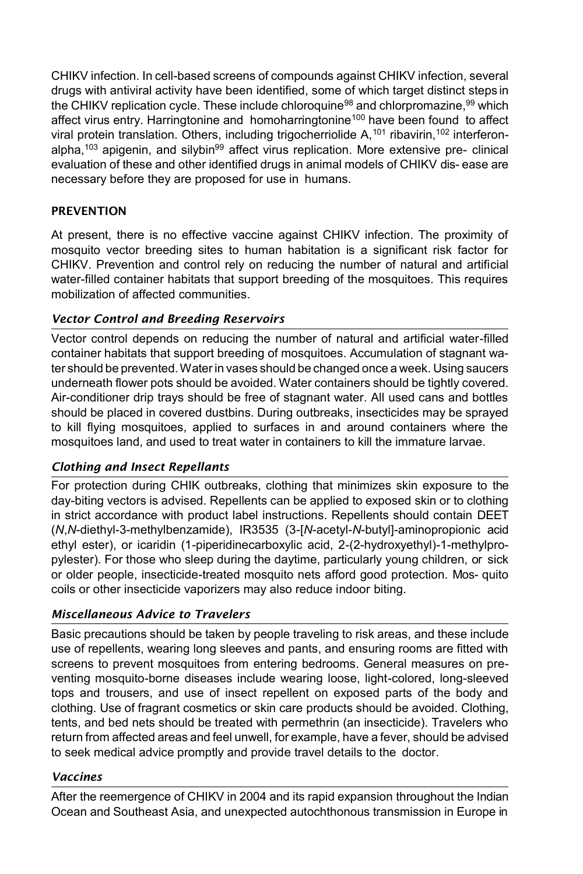CHIKV infection. In cell-based screens of compounds against CHIKV infection, several drugs with antiviral activity have been identified, some of which target distinct steps in the CHIKV replication cycle. These include chloroquine<sup>[98](#page-23-12)</sup> and chlorpromazine,<sup>[99](#page-23-13)</sup> which affect virus entry. Harringtonine and homoharringtonine<sup>[100](#page-23-14)</sup> have been found to affect viral protein translation. Others, including trigocherriolide A,<sup>[101](#page-24-0)</sup> ribavirin,<sup>[102](#page-24-1)</sup> interferon-alpha,<sup>[103](#page-24-2)</sup> apigenin, and silybin<sup>[99](#page-23-13)</sup> affect virus replication. More extensive pre- clinical evaluation of these and other identified drugs in animal models of CHIKV dis- ease are necessary before they are proposed for use in humans.

# PREVENTION

At present, there is no effective vaccine against CHIKV infection. The proximity of mosquito vector breeding sites to human habitation is a significant risk factor for CHIKV. Prevention and control rely on reducing the number of natural and artificial water-filled container habitats that support breeding of the mosquitoes. This requires mobilization of affected communities.

# *Vector Control and Breeding Reservoirs*

Vector control depends on reducing the number of natural and artificial water-filled container habitats that support breeding of mosquitoes. Accumulation of stagnant water should be prevented.Waterin vases should be changed once a week. Using saucers underneath flower pots should be avoided. Water containers should be tightly covered. Air-conditioner drip trays should be free of stagnant water. All used cans and bottles should be placed in covered dustbins. During outbreaks, insecticides may be sprayed to kill flying mosquitoes, applied to surfaces in and around containers where the mosquitoes land, and used to treat water in containers to kill the immature larvae.

# *Clothing and Insect Repellants*

For protection during CHIK outbreaks, clothing that minimizes skin exposure to the day-biting vectors is advised. Repellents can be applied to exposed skin or to clothing in strict accordance with product label instructions. Repellents should contain DEET (*N*,*N*-diethyl-3-methylbenzamide), IR3535 (3-[*N*-acetyl-*N*-butyl]-aminopropionic acid ethyl ester), or icaridin (1-piperidinecarboxylic acid, 2-(2-hydroxyethyl)-1-methylpropylester). For those who sleep during the daytime, particularly young children, or sick or older people, insecticide-treated mosquito nets afford good protection. Mos- quito coils or other insecticide vaporizers may also reduce indoor biting.

## *Miscellaneous Advice to Travelers*

Basic precautions should be taken by people traveling to risk areas, and these include use of repellents, wearing long sleeves and pants, and ensuring rooms are fitted with screens to prevent mosquitoes from entering bedrooms. General measures on preventing mosquito-borne diseases include wearing loose, light-colored, long-sleeved tops and trousers, and use of insect repellent on exposed parts of the body and clothing. Use of fragrant cosmetics or skin care products should be avoided. Clothing, tents, and bed nets should be treated with permethrin (an insecticide). Travelers who return from affected areas and feel unwell, for example, have a fever, should be advised to seek medical advice promptly and provide travel details to the doctor.

## *Vaccines*

After the reemergence of CHIKV in 2004 and its rapid expansion throughout the Indian Ocean and Southeast Asia, and unexpected autochthonous transmission in Europe in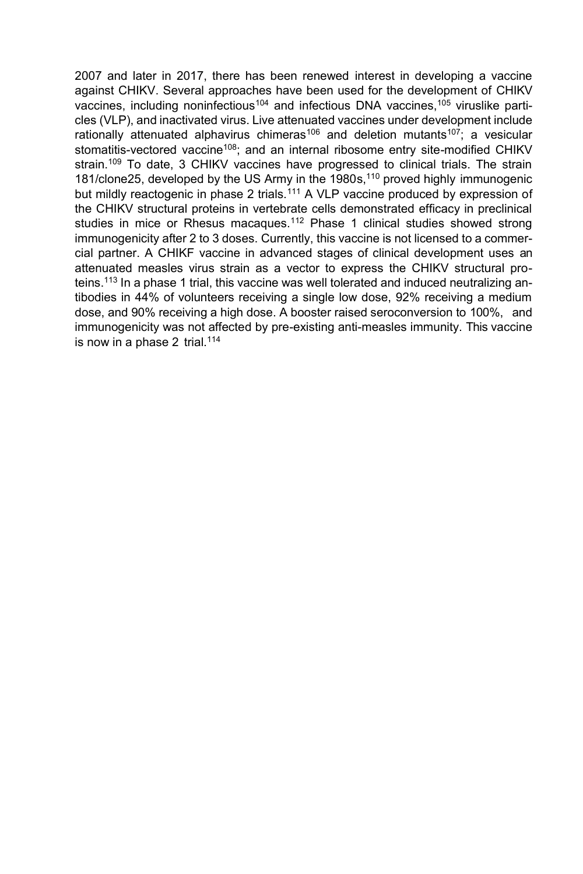2007 and later in 2017, there has been renewed interest in developing a vaccine against CHIKV. Several approaches have been used for the development of CHIKV vaccines, including noninfectious<sup>[104](#page-24-3)</sup> and infectious DNA vaccines,<sup>[105](#page-24-4)</sup> viruslike particles (VLP), and inactivated virus. Live attenuated vaccines under development include rationally attenuated alphavirus chimeras<sup>[106](#page-24-5)</sup> and deletion mutants<sup>[107](#page-24-6)</sup>; a vesicular stomatitis-vectored vaccine<sup>[108](#page-24-7)</sup>; and an internal ribosome entry site-modified CHIKV strain.<sup>[109](#page-24-8)</sup> To date, 3 CHIKV vaccines have progressed to clinical trials. The strain 181/clone25, developed by the US Army in the 1980s,<sup>[110](#page-24-9)</sup> proved highly immunogenic but mildly reactogenic in phase 2 trials.<sup>[111](#page-24-10)</sup> A VLP vaccine produced by expression of the CHIKV structural proteins in vertebrate cells demonstrated efficacy in preclinical studies in mice or Rhesus macaques.<sup>[112](#page-24-11)</sup> Phase 1 clinical studies showed strong immunogenicity after 2 to 3 doses. Currently, this vaccine is not licensed to a commercial partner. A CHIKF vaccine in advanced stages of clinical development uses an attenuated measles virus strain as a vector to express the CHIKV structural pro-teins.<sup>[113](#page-24-12)</sup> In a phase 1 trial, this vaccine was well tolerated and induced neutralizing antibodies in 44% of volunteers receiving a single low dose, 92% receiving a medium dose, and 90% receiving a high dose. A booster raised seroconversion to 100%, and immunogenicity was not affected by pre-existing anti-measles immunity. This vaccine is now in a phase 2 trial. $114$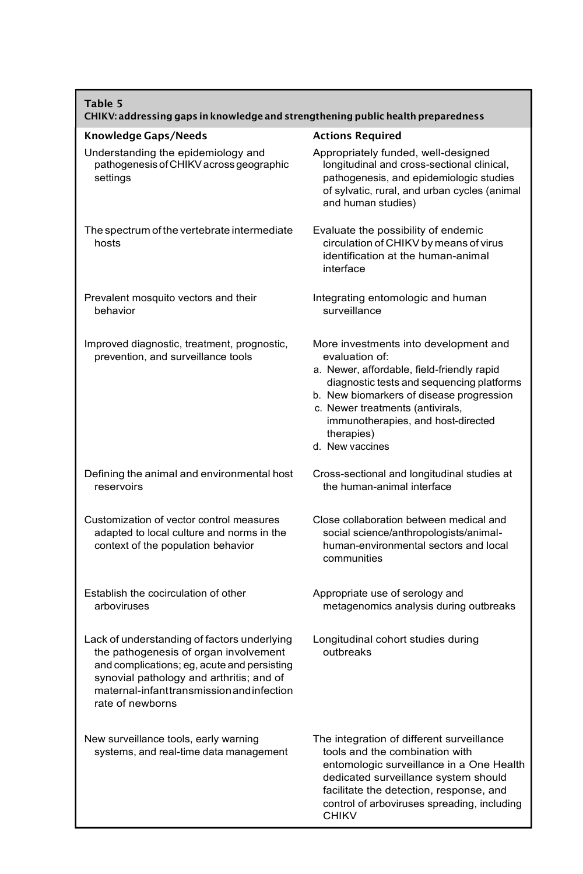Table 5

<span id="page-16-0"></span>

| CHIKV: addressing gaps in knowledge and strengthening public health preparedness                                                                                                                                                                 |                                                                                                                                                                                                                                                                                                           |  |
|--------------------------------------------------------------------------------------------------------------------------------------------------------------------------------------------------------------------------------------------------|-----------------------------------------------------------------------------------------------------------------------------------------------------------------------------------------------------------------------------------------------------------------------------------------------------------|--|
| Knowledge Gaps/Needs                                                                                                                                                                                                                             | <b>Actions Required</b>                                                                                                                                                                                                                                                                                   |  |
| Understanding the epidemiology and<br>pathogenesis of CHIKV across geographic<br>settings                                                                                                                                                        | Appropriately funded, well-designed<br>longitudinal and cross-sectional clinical,<br>pathogenesis, and epidemiologic studies<br>of sylvatic, rural, and urban cycles (animal<br>and human studies)                                                                                                        |  |
| The spectrum of the vertebrate intermediate<br>hosts                                                                                                                                                                                             | Evaluate the possibility of endemic<br>circulation of CHIKV by means of virus<br>identification at the human-animal<br>interface                                                                                                                                                                          |  |
| Prevalent mosquito vectors and their<br>behavior                                                                                                                                                                                                 | Integrating entomologic and human<br>surveillance                                                                                                                                                                                                                                                         |  |
| Improved diagnostic, treatment, prognostic,<br>prevention, and surveillance tools                                                                                                                                                                | More investments into development and<br>evaluation of:<br>a. Newer, affordable, field-friendly rapid<br>diagnostic tests and sequencing platforms<br>b. New biomarkers of disease progression<br>c. Newer treatments (antivirals,<br>immunotherapies, and host-directed<br>therapies)<br>d. New vaccines |  |
| Defining the animal and environmental host<br>reservoirs                                                                                                                                                                                         | Cross-sectional and longitudinal studies at<br>the human-animal interface                                                                                                                                                                                                                                 |  |
| Customization of vector control measures<br>adapted to local culture and norms in the<br>context of the population behavior                                                                                                                      | Close collaboration between medical and<br>social science/anthropologists/animal-<br>human-environmental sectors and local<br>communities                                                                                                                                                                 |  |
| Establish the cocirculation of other<br>arboviruses                                                                                                                                                                                              | Appropriate use of serology and<br>metagenomics analysis during outbreaks                                                                                                                                                                                                                                 |  |
| Lack of understanding of factors underlying<br>the pathogenesis of organ involvement<br>and complications; eg, acute and persisting<br>synovial pathology and arthritis; and of<br>maternal-infanttransmission and infection<br>rate of newborns | Longitudinal cohort studies during<br>outbreaks                                                                                                                                                                                                                                                           |  |
| New surveillance tools, early warning<br>systems, and real-time data management                                                                                                                                                                  | The integration of different surveillance<br>tools and the combination with<br>entomologic surveillance in a One Health<br>dedicated surveillance system should<br>facilitate the detection, response, and<br>control of arboviruses spreading, including<br><b>CHIKV</b>                                 |  |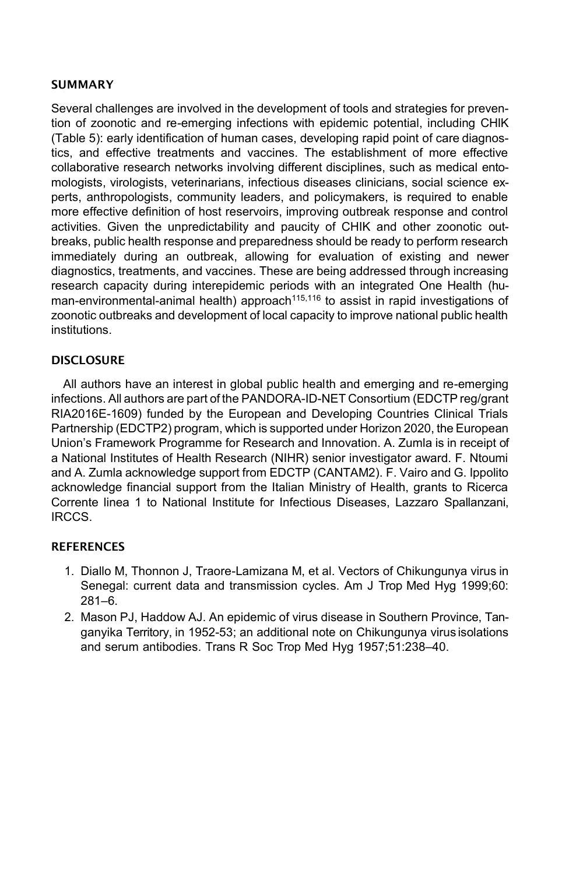## SUMMARY

Several challenges are involved in the development of tools and strategies for prevention of zoonotic and re-emerging infections with epidemic potential, including CHIK [\(Table 5\)](#page-16-0): early identification of human cases, developing rapid point of care diagnostics, and effective treatments and vaccines. The establishment of more effective collaborative research networks involving different disciplines, such as medical entomologists, virologists, veterinarians, infectious diseases clinicians, social science experts, anthropologists, community leaders, and policymakers, is required to enable more effective definition of host reservoirs, improving outbreak response and control activities. Given the unpredictability and paucity of CHIK and other zoonotic outbreaks, public health response and preparedness should be ready to perform research immediately during an outbreak, allowing for evaluation of existing and newer diagnostics, treatments, and vaccines. These are being addressed through increasing research capacity during interepidemic periods with an integrated One Health (hu-man-environmental-animal health) approach<sup>[115,116](#page-24-14)</sup> to assist in rapid investigations of zoonotic outbreaks and development of local capacity to improve national public health institutions.

### **DISCLOSURE**

All authors have an interest in global public health and emerging and re-emerging infections. All authors are part of the PANDORA-ID-NET Consortium (EDCTP reg/grant RIA2016E-1609) funded by the European and Developing Countries Clinical Trials Partnership (EDCTP2) program, which is supported under Horizon 2020, the European Union's Framework Programme for Research and Innovation. A. Zumla is in receipt of a National Institutes of Health Research (NIHR) senior investigator award. F. Ntoumi and A. Zumla acknowledge support from EDCTP (CANTAM2). F. Vairo and G. Ippolito acknowledge financial support from the Italian Ministry of Health, grants to Ricerca Corrente linea 1 to National Institute for Infectious Diseases, Lazzaro Spallanzani, IRCCS.

### **REFERENCES**

- <span id="page-17-1"></span><span id="page-17-0"></span>1. [Diallo M, Thonnon J, Traore-Lamizana M, et al. Vectors of Chikungunya virus](http://refhub.elsevier.com/S0891-5520(19)30065-0/sref1) i[n](http://refhub.elsevier.com/S0891-5520(19)30065-0/sref1) [Senegal: current data and transmission cycles. Am J Trop Med Hyg 1999;60:](http://refhub.elsevier.com/S0891-5520(19)30065-0/sref1) [281](http://refhub.elsevier.com/S0891-5520(19)30065-0/sref1)–6.
- 2. Mason PJ, Haddow AJ. An epidemic of virus disease in Southern [Province,](http://refhub.elsevier.com/S0891-5520(19)30065-0/sref2) Ta[n](http://refhub.elsevier.com/S0891-5520(19)30065-0/sref2)[ganyika Territory, in 1952-53; an additional note on Chikungunya virus](http://refhub.elsevier.com/S0891-5520(19)30065-0/sref2) isolation[s](http://refhub.elsevier.com/S0891-5520(19)30065-0/sref2) and serum antibodies. Trans R Soc Trop Med Hyg [1957;51:238](http://refhub.elsevier.com/S0891-5520(19)30065-0/sref2)–40.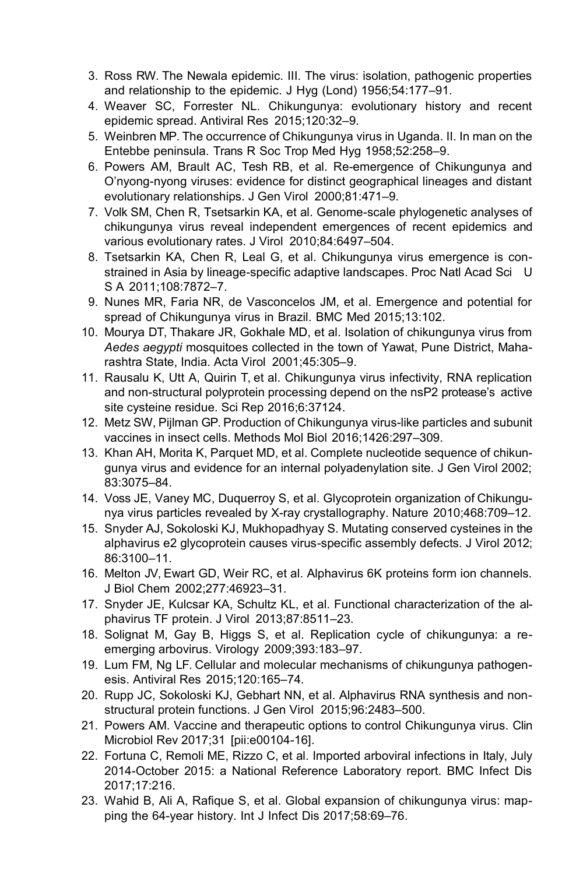- <span id="page-18-2"></span><span id="page-18-1"></span><span id="page-18-0"></span>3. [Ross RW. The Newala epidemic. III. The virus: isolation, pathogenic properties](http://refhub.elsevier.com/S0891-5520(19)30065-0/sref3) and relationship to the epidemic. J Hyg (Lond) [1956;54:177](http://refhub.elsevier.com/S0891-5520(19)30065-0/sref3)–91.
- 4. [Weaver SC, Forrester NL. Chikungunya: evolutionary history and recent](http://refhub.elsevier.com/S0891-5520(19)30065-0/sref4) [epidemic spread. Antiviral Res](http://refhub.elsevier.com/S0891-5520(19)30065-0/sref4) 2015;120:32–9.
- <span id="page-18-3"></span>5. Weinbren MP. The occurrence of [Chikungunya](http://refhub.elsevier.com/S0891-5520(19)30065-0/sref5) virus in Uganda. II. In man on th[e](http://refhub.elsevier.com/S0891-5520(19)30065-0/sref5) Entebbe peninsula. Trans R Soc Trop Med Hyg [1958;52:258](http://refhub.elsevier.com/S0891-5520(19)30065-0/sref5)–9.
- 6. [Powers AM, Brault AC, Tesh RB, et al. Re-emergence of Chikungunya and](http://refhub.elsevier.com/S0891-5520(19)30065-0/sref6) O'nyong[-nyong viruses: evidence for distinct geographical lineages and distant](http://refhub.elsevier.com/S0891-5520(19)30065-0/sref6) [evolutionary relationships. J Gen Virol](http://refhub.elsevier.com/S0891-5520(19)30065-0/sref6) 2000;81:471–9.
- <span id="page-18-4"></span>7. [Volk SM, Chen R, Tsetsarkin KA, et al. Genome-scale phylogenetic analyses of](http://refhub.elsevier.com/S0891-5520(19)30065-0/sref7) [chikungunya virus reveal independent emergences of recent epidemics and](http://refhub.elsevier.com/S0891-5520(19)30065-0/sref7) [various evolutionary rates. J Virol](http://refhub.elsevier.com/S0891-5520(19)30065-0/sref7) 2010;84:6497–504.
- 8. [Tsetsarkin KA, Chen R, Leal G, et al. Chikungunya virus emergence is con](http://refhub.elsevier.com/S0891-5520(19)30065-0/sref8)[strained in Asia by lineage-specific adaptive landscapes. Proc Natl Acad Sci U](http://refhub.elsevier.com/S0891-5520(19)30065-0/sref8)  S A [2011;108:7872](http://refhub.elsevier.com/S0891-5520(19)30065-0/sref8)–7.
- <span id="page-18-5"></span>9. [Nunes MR, Faria NR, de Vasconcelos JM, et al. Emergence and potential for](http://refhub.elsevier.com/S0891-5520(19)30065-0/sref9) spread of [Chikungunya](http://refhub.elsevier.com/S0891-5520(19)30065-0/sref9) virus in Brazil. BMC Med 2015;13:102.
- 10. [Mourya DT, Thakare JR, Gokhale MD, et al. Isolation of chikungunya virus from](http://refhub.elsevier.com/S0891-5520(19)30065-0/sref10) *Aedes aegypti* [mosquitoes collected in the town of Yawat, Pune District, Maha](http://refhub.elsevier.com/S0891-5520(19)30065-0/sref10)[rashtra State, India. Acta Virol](http://refhub.elsevier.com/S0891-5520(19)30065-0/sref10) 2001;45:305–9.
- <span id="page-18-6"></span>11. [Rausalu K, Utt A, Quirin T, et al. Chikungunya virus infectivity, RNA replication](http://refhub.elsevier.com/S0891-5520(19)30065-0/sref11) [and non-structural polyprotein processing depend on the nsP2](http://refhub.elsevier.com/S0891-5520(19)30065-0/sref11) protease's [active](http://refhub.elsevier.com/S0891-5520(19)30065-0/sref11)  [site cysteine residue. Sci Rep](http://refhub.elsevier.com/S0891-5520(19)30065-0/sref11) 2016;6:37124.
- <span id="page-18-7"></span>12. Metz SW, Pijlman GP. Production of [Chikungunya](http://refhub.elsevier.com/S0891-5520(19)30065-0/sref12) virus-like particles and subun[it](http://refhub.elsevier.com/S0891-5520(19)30065-0/sref12) [vaccines in insect cells. Methods Mol Biol](http://refhub.elsevier.com/S0891-5520(19)30065-0/sref12) 2016;1426:297–309.
- <span id="page-18-8"></span>13. Khan AH, Morita K, Parquet MD, et al. Complete [nucleotide](http://refhub.elsevier.com/S0891-5520(19)30065-0/sref13) sequence of chikun[gunya virus and evidence for an internal polyadenylation site. J Gen Virol 2002;](http://refhub.elsevier.com/S0891-5520(19)30065-0/sref13) [83:3075](http://refhub.elsevier.com/S0891-5520(19)30065-0/sref13)–84.
- <span id="page-18-9"></span>14. [Voss JE, Vaney MC, Duquerroy S, et al. Glycoprotein organization of](http://refhub.elsevier.com/S0891-5520(19)30065-0/sref14) Chikungu[nya virus particles revealed by X-ray crystallography. Nature](http://refhub.elsevier.com/S0891-5520(19)30065-0/sref14) 2010;468:709–12.
- <span id="page-18-10"></span>15. Snyder AJ, Sokoloski KJ, [Mukhopadhyay](http://refhub.elsevier.com/S0891-5520(19)30065-0/sref15) S. Mutating conserved cysteines in th[e](http://refhub.elsevier.com/S0891-5520(19)30065-0/sref15) [alphavirus e2 glycoprotein causes virus-specific assembly defects. J Virol 2012;](http://refhub.elsevier.com/S0891-5520(19)30065-0/sref15) [86:3100](http://refhub.elsevier.com/S0891-5520(19)30065-0/sref15)–11.
- <span id="page-18-11"></span>16. [Melton JV, Ewart GD, Weir RC, et al. Alphavirus 6K proteins form ion channels.](http://refhub.elsevier.com/S0891-5520(19)30065-0/sref16) J Biol Chem [2002;277:46923](http://refhub.elsevier.com/S0891-5520(19)30065-0/sref16)–31.
- <span id="page-18-12"></span>17. [Snyder JE, Kulcsar KA, Schultz KL, et al. Functional characterization of the al](http://refhub.elsevier.com/S0891-5520(19)30065-0/sref17)[phavirus TF protein. J Virol](http://refhub.elsevier.com/S0891-5520(19)30065-0/sref17) 2013;87:8511–23.
- 18. [Solignat M, Gay B, Higgs S, et al. Replication cycle of chikungunya: a re](http://refhub.elsevier.com/S0891-5520(19)30065-0/sref18)[emerging arbovirus. Virology](http://refhub.elsevier.com/S0891-5520(19)30065-0/sref18) 2009;393:183–97.
- <span id="page-18-14"></span><span id="page-18-13"></span>19. [Lum FM, Ng LF. Cellular and molecular mechanisms of chikungunya pathogen](http://refhub.elsevier.com/S0891-5520(19)30065-0/sref19)[esis. Antiviral Res](http://refhub.elsevier.com/S0891-5520(19)30065-0/sref19) 2015;120:165–74.
- 20. [Rupp JC, Sokoloski KJ, Gebhart NN, et al. Alphavirus RNA synthesis and non](http://refhub.elsevier.com/S0891-5520(19)30065-0/sref20)[structural protein functions. J Gen Virol](http://refhub.elsevier.com/S0891-5520(19)30065-0/sref20) 2015;96:2483–500.
- <span id="page-18-15"></span>21. [Powers AM. Vaccine and therapeutic options to control Chikungunya virus. Clin](http://refhub.elsevier.com/S0891-5520(19)30065-0/sref21) [Microbiol Rev 2017;31](http://refhub.elsevier.com/S0891-5520(19)30065-0/sref21) [pii:e00104-16].
- <span id="page-18-16"></span>22. [Fortuna C, Remoli ME, Rizzo C, et al. Imported arboviral infections in Italy,](http://refhub.elsevier.com/S0891-5520(19)30065-0/sref22) Jul[y](http://refhub.elsevier.com/S0891-5520(19)30065-0/sref22) [2014-October 2015: a National Reference Laboratory report. BMC Infect Dis](http://refhub.elsevier.com/S0891-5520(19)30065-0/sref22) [2017;17:216.](http://refhub.elsevier.com/S0891-5520(19)30065-0/sref22)
- 23. [Wahid B, Ali A, Rafique S, et al. Global expansion of chikungunya virus: map](http://refhub.elsevier.com/S0891-5520(19)30065-0/sref23)ping the 64-year history. Int J Infect Dis [2017;58:69](http://refhub.elsevier.com/S0891-5520(19)30065-0/sref23)–76.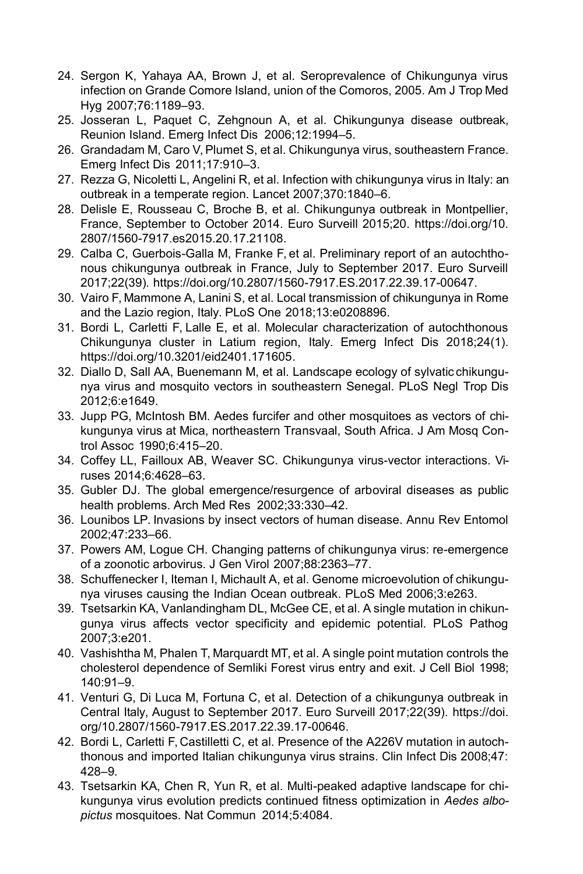- <span id="page-19-1"></span><span id="page-19-0"></span>24. [Sergon K, Yahaya AA, Brown J, et al. Seroprevalence of Chikungunya virus](http://refhub.elsevier.com/S0891-5520(19)30065-0/sref24) [infection on Grande Comore Island, union of the Comoros, 2005. Am J Trop](http://refhub.elsevier.com/S0891-5520(19)30065-0/sref24) [Med](http://refhub.elsevier.com/S0891-5520(19)30065-0/sref24)  Hyg [2007;76:1189](http://refhub.elsevier.com/S0891-5520(19)30065-0/sref24)–93.
- <span id="page-19-2"></span>25. [Josseran L, Paquet C, Zehgnoun A, et al. Chikungunya disease outbreak,](http://refhub.elsevier.com/S0891-5520(19)30065-0/sref25) [Reunion Island. Emerg Infect Dis](http://refhub.elsevier.com/S0891-5520(19)30065-0/sref25) 2006;12:1994–5.
- <span id="page-19-11"></span>26. Grandadam M, Caro V, Plumet S, et al. [Chikungunya](http://refhub.elsevier.com/S0891-5520(19)30065-0/sref26) virus, southeastern Franc[e.](http://refhub.elsevier.com/S0891-5520(19)30065-0/sref26) [Emerg Infect Dis](http://refhub.elsevier.com/S0891-5520(19)30065-0/sref26) 2011;17:910–3.
- 27. Rezza G, Nicoletti L, Angelini R, et al. Infection with [chikungunya](http://refhub.elsevier.com/S0891-5520(19)30065-0/sref27) virus in Italy: a[n](http://refhub.elsevier.com/S0891-5520(19)30065-0/sref27) [outbreak in a temperate region. Lancet](http://refhub.elsevier.com/S0891-5520(19)30065-0/sref27) 2007;370:1840–6.
- 28. Delisle E, Rousseau C, Broche B, et al. Chikungunya outbreak in Montpellier, France, September to October 2014. Euro Surveill 2015;20. [https://doi.org/10.](https://doi.org/10.2807/1560-7917.es2015.20.17.21108) [2807/1560-7917.es2015.20.17.21108.](https://doi.org/10.2807/1560-7917.es2015.20.17.21108)
- 29. Calba C, Guerbois-Galla M, Franke F, et al. Preliminary report of an autochthonous chikungunya outbreak in France, July to September 2017. Euro Surveill 2017;22(39). [https://doi.org/10.2807/1560-7917.ES.2017.22.39.17-00647.](https://doi.org/10.2807/1560-7917.ES.2017.22.39.17-00646)
- <span id="page-19-4"></span><span id="page-19-3"></span>30. Vairo F, Mammone A, Lanini S, et al. Local [transmission](http://refhub.elsevier.com/S0891-5520(19)30065-0/sref30) of chikungunya in Rom[e](http://refhub.elsevier.com/S0891-5520(19)30065-0/sref30) [and the Lazio region, Italy. PLoS One](http://refhub.elsevier.com/S0891-5520(19)30065-0/sref30) 2018;13:e0208896.
- 31. Bordi L, Carletti F, Lalle E, et al. Molecular characterization of autochthonous Chikungunya cluster in Latium region, Italy. Emerg Infect Dis 2018;24(1). [https://doi.org/10.3201/eid2401.171605.](https://doi.org/10.3201/eid2401.171605)
- 32. [Diallo D, Sall AA, Buenemann M, et al. Landscape ecology of sylvatic](http://refhub.elsevier.com/S0891-5520(19)30065-0/sref32) chikungu[nya virus and mosquito vectors in southeastern Senegal. PLoS Negl Trop Dis](http://refhub.elsevier.com/S0891-5520(19)30065-0/sref32) [2012;6:e1649.](http://refhub.elsevier.com/S0891-5520(19)30065-0/sref32)
- <span id="page-19-5"></span>33. [Jupp PG, McIntosh BM. Aedes furcifer and other mosquitoes as vectors of chi](http://refhub.elsevier.com/S0891-5520(19)30065-0/sref33)[kungunya virus at Mica, northeastern Transvaal, South Africa. J Am Mosq Con](http://refhub.elsevier.com/S0891-5520(19)30065-0/sref33)trol Assoc [1990;6:415](http://refhub.elsevier.com/S0891-5520(19)30065-0/sref33)–20.
- <span id="page-19-6"></span>34. [Coffey LL, Failloux AB, Weaver SC. Chikungunya virus-vector interactions. Vi](http://refhub.elsevier.com/S0891-5520(19)30065-0/sref34)ruses [2014;6:4628](http://refhub.elsevier.com/S0891-5520(19)30065-0/sref34)–63.
- <span id="page-19-7"></span>35. [Gubler DJ. The global emergence/resurgence of arboviral diseases as public](http://refhub.elsevier.com/S0891-5520(19)30065-0/sref35) [health problems. Arch Med Res](http://refhub.elsevier.com/S0891-5520(19)30065-0/sref35) 2002;33:330–42.
- <span id="page-19-8"></span>36. [Lounibos LP. Invasions by insect vectors of human disease. Annu Rev Entomol](http://refhub.elsevier.com/S0891-5520(19)30065-0/sref36) [2002;47:233](http://refhub.elsevier.com/S0891-5520(19)30065-0/sref36)–66.
- <span id="page-19-9"></span>37. [Powers AM, Logue CH. Changing patterns of chikungunya virus: re-emergence](http://refhub.elsevier.com/S0891-5520(19)30065-0/sref37) [of a zoonotic arbovirus. J Gen Virol](http://refhub.elsevier.com/S0891-5520(19)30065-0/sref37) 2007;88:2363–77.
- <span id="page-19-10"></span>38. Schuffenecker I, Iteman I, Michault A, et al. Genome [microevolution](http://refhub.elsevier.com/S0891-5520(19)30065-0/sref38) of chikungunya viruses causing the Indian Ocean outbreak. PLoS Med [2006;3:e263.](http://refhub.elsevier.com/S0891-5520(19)30065-0/sref38)
- 39. Tsetsarkin KA, [Vanlandingham](http://refhub.elsevier.com/S0891-5520(19)30065-0/sref39) DL, McGee CE, et al. A single mutation in chikun[gunya virus affects vector specificity and epidemic potential. PLoS Pathog](http://refhub.elsevier.com/S0891-5520(19)30065-0/sref39) [2007;3:e201.](http://refhub.elsevier.com/S0891-5520(19)30065-0/sref39)
- 40. [Vashishtha](http://refhub.elsevier.com/S0891-5520(19)30065-0/sref40) M, Phalen T, Marquardt MT, et al. A single point mutation controls th[e](http://refhub.elsevier.com/S0891-5520(19)30065-0/sref40) [cholesterol dependence of Semliki Forest virus entry and exit. J Cell Biol 1998;](http://refhub.elsevier.com/S0891-5520(19)30065-0/sref40) [140:91](http://refhub.elsevier.com/S0891-5520(19)30065-0/sref40)–9.
- 41. Venturi G, Di Luca M, Fortuna C, et al. Detection of a chikungunya outbreak in Central Italy, August to September 2017. Euro Surveill 2017;22(39). [https://doi.](https://doi.org/10.2807/1560-7917.ES.2017.22.39.17-00646) [org/10.2807/1560-7917.ES.2017.22.39.17-00646.](https://doi.org/10.2807/1560-7917.ES.2017.22.39.17-00646)
- <span id="page-19-12"></span>42. [Bordi L, Carletti F, Castilletti C, et al. Presence of the A226V mutation in](http://refhub.elsevier.com/S0891-5520(19)30065-0/sref42) autoch[thonous and imported Italian chikungunya virus strains. Clin Infect Dis 2008;47:](http://refhub.elsevier.com/S0891-5520(19)30065-0/sref42) [428](http://refhub.elsevier.com/S0891-5520(19)30065-0/sref42)–9.
- 43. [Tsetsarkin KA, Chen R, Yun R, et al. Multi-peaked adaptive landscape for chi](http://refhub.elsevier.com/S0891-5520(19)30065-0/sref43)[kungunya virus evolution predicts continued fitness optimization in](http://refhub.elsevier.com/S0891-5520(19)30065-0/sref43) *Aedes alb[o](http://refhub.elsevier.com/S0891-5520(19)30065-0/sref43)pictus* [mosquitoes. Nat Commun](http://refhub.elsevier.com/S0891-5520(19)30065-0/sref43) 2014;5:4084.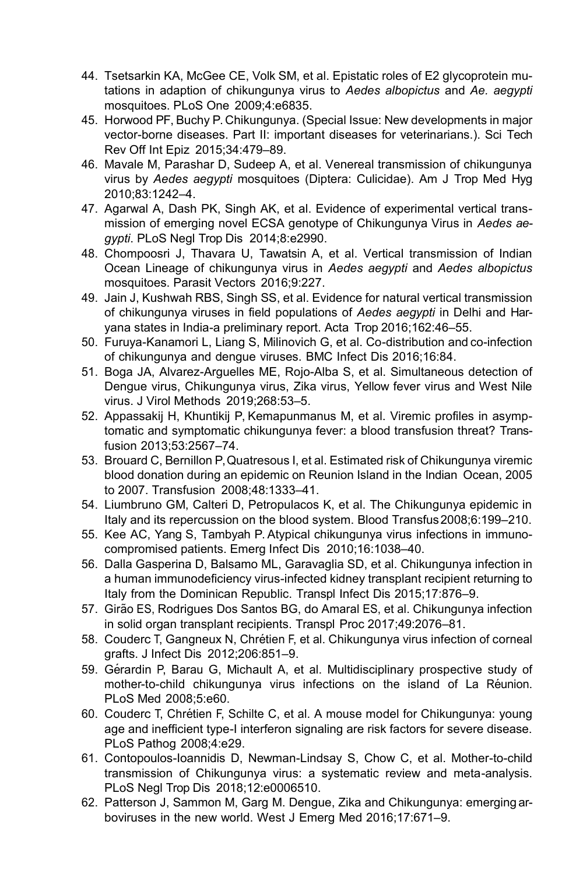- <span id="page-21-0"></span>44. Tsetsarkin KA, McGee CE, Volk SM, et al. Epistatic roles of E2 [glycoprotein](http://refhub.elsevier.com/S0891-5520(19)30065-0/sref44) mu[tations in adaption of chikungunya virus to](http://refhub.elsevier.com/S0891-5520(19)30065-0/sref44) *Aedes albopictus* and *Ae. aegyp[ti](http://refhub.elsevier.com/S0891-5520(19)30065-0/sref44)* [mosquitoes. PLoS One](http://refhub.elsevier.com/S0891-5520(19)30065-0/sref44) 2009;4:e6835.
- 45. Horwood PF, Buchy P. Chikungunya. (Special Issue: New [developments](http://refhub.elsevier.com/S0891-5520(19)30065-0/sref45) in majo[r](http://refhub.elsevier.com/S0891-5520(19)30065-0/sref45) [vector-borne diseases. Part II: important diseases for veterinarians.\). Sci Tech](http://refhub.elsevier.com/S0891-5520(19)30065-0/sref45) [Rev Off Int Epiz](http://refhub.elsevier.com/S0891-5520(19)30065-0/sref45) 2015;34:479–89.
- <span id="page-21-2"></span><span id="page-21-1"></span>46. [Mavale M, Parashar D, Sudeep A, et al. Venereal transmission of chikungunya](http://refhub.elsevier.com/S0891-5520(19)30065-0/sref46) virus by *Aedes aegypti* [mosquitoes \(Diptera: Culicidae\). Am J Trop Med Hyg](http://refhub.elsevier.com/S0891-5520(19)30065-0/sref46) [2010;83:1242](http://refhub.elsevier.com/S0891-5520(19)30065-0/sref46)–4.
- 47. [Agarwal A, Dash PK, Singh AK, et al. Evidence of experimental vertical trans](http://refhub.elsevier.com/S0891-5520(19)30065-0/sref47)[mission of emerging novel ECSA genotype of Chikungunya Virus in](http://refhub.elsevier.com/S0891-5520(19)30065-0/sref47) *Aedes aegypti*[. PLoS Negl Trop Dis](http://refhub.elsevier.com/S0891-5520(19)30065-0/sref47) 2014;8:e2990.
- 48. [Chompoosri J, Thavara U, Tawatsin A, et al. Vertical transmission of Indian](http://refhub.elsevier.com/S0891-5520(19)30065-0/sref48) [Ocean Lineage of chikungunya virus in](http://refhub.elsevier.com/S0891-5520(19)30065-0/sref48) *Aedes aegypti* and *Aedes albopictu[s](http://refhub.elsevier.com/S0891-5520(19)30065-0/sref48)* [mosquitoes. Parasit Vectors](http://refhub.elsevier.com/S0891-5520(19)30065-0/sref48) 2016;9:227.
- <span id="page-21-3"></span>49. Jain J, Kushwah RBS, Singh SS, et al. Evidence for natural vertical [transmission](http://refhub.elsevier.com/S0891-5520(19)30065-0/sref49) [of chikungunya viruses in field populations of](http://refhub.elsevier.com/S0891-5520(19)30065-0/sref49) *Aedes aegypti* in Delhi and Ha[r](http://refhub.elsevier.com/S0891-5520(19)30065-0/sref49)[yana states in India-a preliminary report. Acta](http://refhub.elsevier.com/S0891-5520(19)30065-0/sref49) Trop 2016;162:46–55.
- <span id="page-21-4"></span>50. [Furuya-Kanamori L, Liang S, Milinovich G, et al. Co-distribution and](http://refhub.elsevier.com/S0891-5520(19)30065-0/sref50) co-infectio[n](http://refhub.elsevier.com/S0891-5520(19)30065-0/sref50) of [chikungunya](http://refhub.elsevier.com/S0891-5520(19)30065-0/sref50) and dengue viruses. BMC Infect Dis 2016;16:84.
- 51. [Boga JA, Alvarez-Arguelles ME, Rojo-Alba S, et al. Simultaneous detection of](http://refhub.elsevier.com/S0891-5520(19)30065-0/sref51) [Dengue virus, Chikungunya virus, Zika virus, Yellow fever virus and West Nile](http://refhub.elsevier.com/S0891-5520(19)30065-0/sref51) [virus. J Virol Methods](http://refhub.elsevier.com/S0891-5520(19)30065-0/sref51) 2019;268:53–5.
- <span id="page-21-6"></span><span id="page-21-5"></span>52. [Appassakij H, Khuntikij P, Kemapunmanus M, et al. Viremic profiles in asymp](http://refhub.elsevier.com/S0891-5520(19)30065-0/sref52)[tomatic and symptomatic chikungunya fever: a blood transfusion threat? Trans](http://refhub.elsevier.com/S0891-5520(19)30065-0/sref52)fusion [2013;53:2567](http://refhub.elsevier.com/S0891-5520(19)30065-0/sref52)–74.
- <span id="page-21-7"></span>53. [Brouard C, Bernillon P, Quatresous I, et al. Estimated risk of Chikungunya](http://refhub.elsevier.com/S0891-5520(19)30065-0/sref53) [viremic](http://refhub.elsevier.com/S0891-5520(19)30065-0/sref53)  [blood donation during an epidemic on Reunion Island in the Indian](http://refhub.elsevier.com/S0891-5520(19)30065-0/sref53) [Ocean, 2005](http://refhub.elsevier.com/S0891-5520(19)30065-0/sref53)  [to 2007. Transfusion](http://refhub.elsevier.com/S0891-5520(19)30065-0/sref53) 2008;48:1333–41.
- <span id="page-21-8"></span>54. [Liumbruno GM, Calteri D, Petropulacos K, et al. The Chikungunya epidemic in](http://refhub.elsevier.com/S0891-5520(19)30065-0/sref54) [Italy and its repercussion on the blood system. Blood Transfus2008;6:199](http://refhub.elsevier.com/S0891-5520(19)30065-0/sref54)–210.
- 55. [Kee AC, Yang S, Tambyah P. Atypical chikungunya virus infections in immuno](http://refhub.elsevier.com/S0891-5520(19)30065-0/sref55)[compromised patients. Emerg Infect Dis](http://refhub.elsevier.com/S0891-5520(19)30065-0/sref55) 2010;16:1038–40.
- 56. [Dalla Gasperina D, Balsamo ML, Garavaglia SD, et al. Chikungunya infection](http://refhub.elsevier.com/S0891-5520(19)30065-0/sref56) i[n](http://refhub.elsevier.com/S0891-5520(19)30065-0/sref56) [a human immunodeficiency virus-infected kidney transplant recipient returning](http://refhub.elsevier.com/S0891-5520(19)30065-0/sref56) [to](http://refhub.elsevier.com/S0891-5520(19)30065-0/sref56) Italy from the Dominican Republic. Transpl Infect Dis [2015;17:876](http://refhub.elsevier.com/S0891-5520(19)30065-0/sref56)–9.
- 57. Girão ES, Rodrigues Dos Santos BG, do Amaral ES, et al. [Chikungunya](http://refhub.elsevier.com/S0891-5520(19)30065-0/sref57) infection [in solid organ transplant recipients. Transpl](http://refhub.elsevier.com/S0891-5520(19)30065-0/sref57) Proc 2017;49:2076–81.
- <span id="page-21-9"></span>58. Couderc T, Gangneux N, Chrétien F, et al. [Chikungunya](http://refhub.elsevier.com/S0891-5520(19)30065-0/sref58) virus infection of corneal [grafts. J Infect Dis](http://refhub.elsevier.com/S0891-5520(19)30065-0/sref58) 2012;206:851–9.
- <span id="page-21-10"></span>59. Gérardin P, Barau G, Michault A, et al. [Multidisciplinary](http://refhub.elsevier.com/S0891-5520(19)30065-0/sref59) prospective study of [mother-to-child](http://refhub.elsevier.com/S0891-5520(19)30065-0/sref59) chikungunya virus infections on the island of La Réunion. PLoS Med [2008;5:e60.](http://refhub.elsevier.com/S0891-5520(19)30065-0/sref59)
- <span id="page-21-13"></span><span id="page-21-11"></span>60. Couderc T, Chrétien F, Schilte C, et al. A mouse model for [Chikungunya:](http://refhub.elsevier.com/S0891-5520(19)30065-0/sref60) young [age and inefficient type-I interferon signaling are risk factors for severe disease.](http://refhub.elsevier.com/S0891-5520(19)30065-0/sref60) [PLoS Pathog](http://refhub.elsevier.com/S0891-5520(19)30065-0/sref60) 2008;4:e29.
- <span id="page-21-12"></span>61. [Contopoulos-Ioannidis D, Newman-Lindsay S, Chow C, et al. Mother-to-child](http://refhub.elsevier.com/S0891-5520(19)30065-0/sref61) [transmission of Chikungunya virus: a systematic review and meta-analysis.](http://refhub.elsevier.com/S0891-5520(19)30065-0/sref61) [PLoS Negl Trop Dis](http://refhub.elsevier.com/S0891-5520(19)30065-0/sref61) 2018;12:e0006510.
- 62. [Patterson J, Sammon M, Garg M. Dengue, Zika and Chikungunya: emerging](http://refhub.elsevier.com/S0891-5520(19)30065-0/sref62) a[r](http://refhub.elsevier.com/S0891-5520(19)30065-0/sref62)boviruses in the new world. West J Emerg Med [2016;17:671](http://refhub.elsevier.com/S0891-5520(19)30065-0/sref62)–9.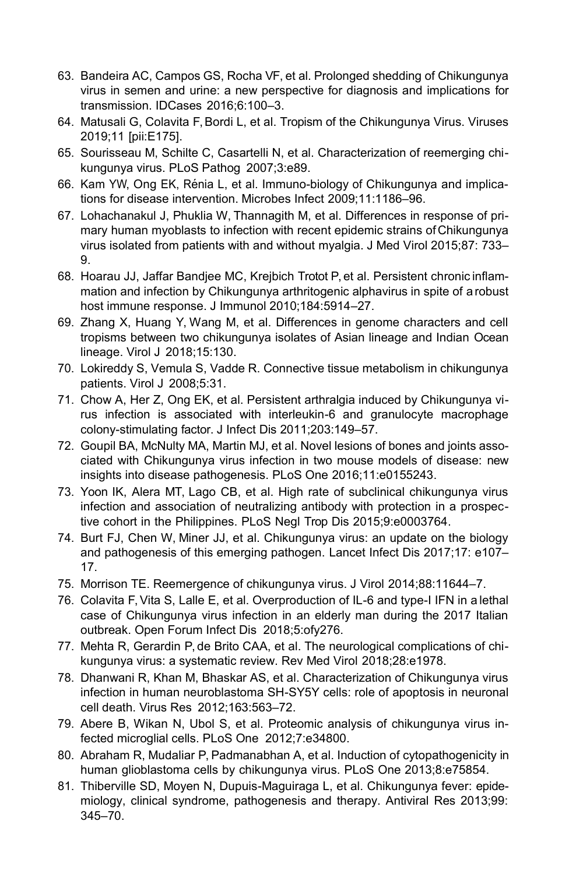- <span id="page-22-1"></span><span id="page-22-0"></span>63. Bandeira AC, Campos GS, Rocha VF, et al. Prolonged shedding of [Chikungunya](http://refhub.elsevier.com/S0891-5520(19)30065-0/sref63) [virus in semen and urine: a new perspective for diagnosis and implications for](http://refhub.elsevier.com/S0891-5520(19)30065-0/sref63) [transmission. IDCases](http://refhub.elsevier.com/S0891-5520(19)30065-0/sref63) 2016;6:100–3.
- <span id="page-22-2"></span>64. [Matusali G, Colavita F, Bordi L, et al. Tropism of the Chikungunya Virus. Viruses](http://refhub.elsevier.com/S0891-5520(19)30065-0/sref64) 2019;11 [\[pii:E175\].](http://refhub.elsevier.com/S0891-5520(19)30065-0/sref64)
- <span id="page-22-3"></span>65. [Sourisseau M, Schilte C, Casartelli N, et al. Characterization of reemerging chi](http://refhub.elsevier.com/S0891-5520(19)30065-0/sref65)[kungunya virus. PLoS Pathog](http://refhub.elsevier.com/S0891-5520(19)30065-0/sref65) 2007;3:e89.
- 66. Kam YW, Ong EK, Rénia L, et al. [Immuno-biology](http://refhub.elsevier.com/S0891-5520(19)30065-0/sref66) of Chikungunya and implica[tions for disease intervention. Microbes Infect](http://refhub.elsevier.com/S0891-5520(19)30065-0/sref66) 2009;11:1186–96.
- <span id="page-22-4"></span>67. [Lohachanakul J, Phuklia W, Thannagith M, et al. Differences in response of pri](http://refhub.elsevier.com/S0891-5520(19)30065-0/sref67)[mary human myoblasts to infection with recent epidemic strains ofChikungunya](http://refhub.elsevier.com/S0891-5520(19)30065-0/sref67) [virus isolated from patients with and without myalgia. J Med Virol 2015;87:](http://refhub.elsevier.com/S0891-5520(19)30065-0/sref67) [733](http://refhub.elsevier.com/S0891-5520(19)30065-0/sref67)– [9.](http://refhub.elsevier.com/S0891-5520(19)30065-0/sref67)
- <span id="page-22-7"></span>68. [Hoarau JJ, Jaffar Bandjee MC, Krejbich Trotot P, et al. Persistent chronic](http://refhub.elsevier.com/S0891-5520(19)30065-0/sref68) inflam[mation and infection by Chikungunya arthritogenic alphavirus in spite of arobust](http://refhub.elsevier.com/S0891-5520(19)30065-0/sref68)  [host immune response. J Immunol 2010;184:5914](http://refhub.elsevier.com/S0891-5520(19)30065-0/sref68)–27.
- <span id="page-22-5"></span>69. [Zhang X, Huang Y, Wang M, et al. Differences in genome characters and cell](http://refhub.elsevier.com/S0891-5520(19)30065-0/sref69) [tropisms between two chikungunya isolates of Asian lineage and Indian Ocean](http://refhub.elsevier.com/S0891-5520(19)30065-0/sref69) [lineage. Virol J](http://refhub.elsevier.com/S0891-5520(19)30065-0/sref69) 2018;15:130.
- <span id="page-22-6"></span>70. Lokireddy S, Vemula S, Vadde R. Connective tissue metabolism in [chikungunya](http://refhub.elsevier.com/S0891-5520(19)30065-0/sref70) [patients. Virol J](http://refhub.elsevier.com/S0891-5520(19)30065-0/sref70) 2008;5:31.
- 71. [Chow A, Her Z, Ong EK, et al. Persistent arthralgia induced by Chikungunya vi](http://refhub.elsevier.com/S0891-5520(19)30065-0/sref71)[rus infection is associated with interleukin-6 and granulocyte macrophage](http://refhub.elsevier.com/S0891-5520(19)30065-0/sref71) [colony-stimulating factor. J Infect Dis 2011;203:149](http://refhub.elsevier.com/S0891-5520(19)30065-0/sref71)–57.
- <span id="page-22-8"></span>72. Goupil BA, [McNulty](http://refhub.elsevier.com/S0891-5520(19)30065-0/sref72) MA, Martin MJ, et al. Novel lesions of bones and joints asso[ciated with Chikungunya virus infection in two mouse models of disease: new](http://refhub.elsevier.com/S0891-5520(19)30065-0/sref72) [insights into disease pathogenesis. PLoS One](http://refhub.elsevier.com/S0891-5520(19)30065-0/sref72) 2016;11:e0155243.
- 73. [Yoon IK, Alera MT, Lago CB, et al. High rate of subclinical chikungunya virus](http://refhub.elsevier.com/S0891-5520(19)30065-0/sref73) [infection and association of neutralizing antibody with protection in a prospec](http://refhub.elsevier.com/S0891-5520(19)30065-0/sref73)tive cohort in the Philippines. PLoS Negl Trop Dis [2015;9:e0003764.](http://refhub.elsevier.com/S0891-5520(19)30065-0/sref73)
- <span id="page-22-9"></span>74. [Burt FJ, Chen W, Miner JJ, et al. Chikungunya virus: an update on the biology](http://refhub.elsevier.com/S0891-5520(19)30065-0/sref74) [and pathogenesis of this emerging pathogen.](http://refhub.elsevier.com/S0891-5520(19)30065-0/sref74) Lancet Infect Dis 2017;17: [e107](http://refhub.elsevier.com/S0891-5520(19)30065-0/sref74)– [17.](http://refhub.elsevier.com/S0891-5520(19)30065-0/sref74)
- 75. [Morrison TE. Reemergence of chikungunya virus. J Virol](http://refhub.elsevier.com/S0891-5520(19)30065-0/sref75) 2014;88:11644–7.
- <span id="page-22-10"></span>76. [Colavita F, Vita S, Lalle E, et al. Overproduction of IL-6 and type-I IFN in a](http://refhub.elsevier.com/S0891-5520(19)30065-0/sref76) leth[al](http://refhub.elsevier.com/S0891-5520(19)30065-0/sref76) [case of Chikungunya virus infection in an elderly man during the 2017 Italian](http://refhub.elsevier.com/S0891-5520(19)30065-0/sref76) [outbreak. Open Forum Infect Dis](http://refhub.elsevier.com/S0891-5520(19)30065-0/sref76) 2018;5:ofy276.
- <span id="page-22-11"></span>77. [Mehta R, Gerardin P, de Brito CAA, et al. The neurological complications of chi](http://refhub.elsevier.com/S0891-5520(19)30065-0/sref77)[kungunya virus: a systematic review. Rev Med Virol](http://refhub.elsevier.com/S0891-5520(19)30065-0/sref77) 2018;28:e1978.
- <span id="page-22-12"></span>78. [Dhanwani R, Khan M, Bhaskar AS, et al. Characterization of Chikungunya virus](http://refhub.elsevier.com/S0891-5520(19)30065-0/sref78) [infection in human neuroblastoma SH-SY5Y cells: role of apoptosis in neuronal](http://refhub.elsevier.com/S0891-5520(19)30065-0/sref78) [cell death. Virus Res](http://refhub.elsevier.com/S0891-5520(19)30065-0/sref78) 2012;163:563–72.
- <span id="page-22-13"></span>79. [Abere B, Wikan N, Ubol S, et al. Proteomic analysis of chikungunya virus in](http://refhub.elsevier.com/S0891-5520(19)30065-0/sref79)[fected microglial cells. PLoS One](http://refhub.elsevier.com/S0891-5520(19)30065-0/sref79) 2012;7:e34800.
- <span id="page-22-14"></span>80. Abraham R, Mudaliar P, Padmanabhan A, et al. Induction of [cytopathogenicity](http://refhub.elsevier.com/S0891-5520(19)30065-0/sref80) i[n](http://refhub.elsevier.com/S0891-5520(19)30065-0/sref80) human glioblastoma cells by chikungunya virus. PLoS One [2013;8:e75854.](http://refhub.elsevier.com/S0891-5520(19)30065-0/sref80)
- 81. [Thiberville SD, Moyen N, Dupuis-Maguiraga L, et al. Chikungunya fever: epide](http://refhub.elsevier.com/S0891-5520(19)30065-0/sref81)[miology, clinical syndrome, pathogenesis and therapy. Antiviral Res 2013;99:](http://refhub.elsevier.com/S0891-5520(19)30065-0/sref81) [345](http://refhub.elsevier.com/S0891-5520(19)30065-0/sref81)–70.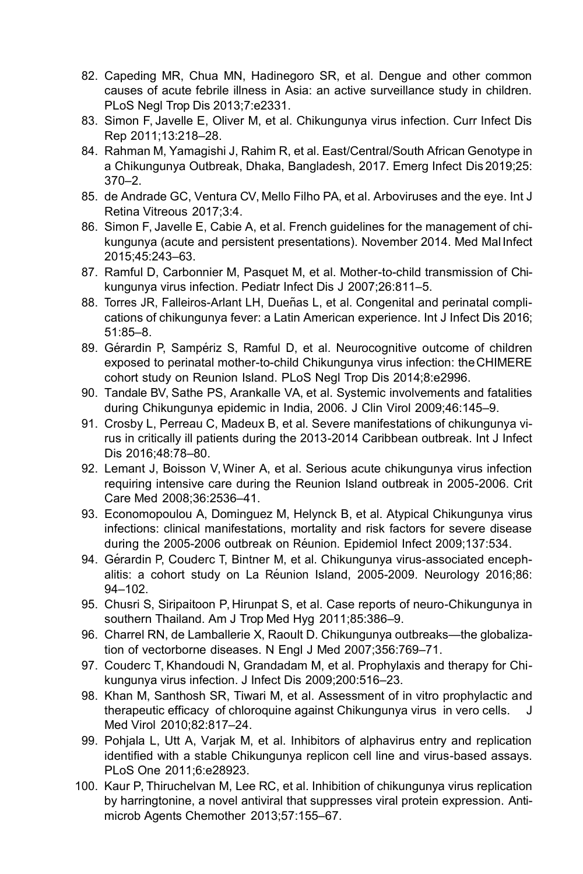- <span id="page-23-0"></span>82. [Capeding MR, Chua MN, Hadinegoro SR, et al. Dengue and other common](http://refhub.elsevier.com/S0891-5520(19)30065-0/sref82) [causes of acute febrile illness in Asia: an active surveillance study in children.](http://refhub.elsevier.com/S0891-5520(19)30065-0/sref82) [PLoS Negl Trop Dis](http://refhub.elsevier.com/S0891-5520(19)30065-0/sref82) 2013;7:e2331.
- <span id="page-23-1"></span>83. [Simon F, Javelle E, Oliver M, et al. Chikungunya virus infection. Curr Infect Dis](http://refhub.elsevier.com/S0891-5520(19)30065-0/sref83) Rep [2011;13:218](http://refhub.elsevier.com/S0891-5520(19)30065-0/sref83)–28.
- <span id="page-23-2"></span>84. Rahman M, Yamagishi J, Rahim R, et al. [East/Central/South](http://refhub.elsevier.com/S0891-5520(19)30065-0/sref84) African Genotype i[n](http://refhub.elsevier.com/S0891-5520(19)30065-0/sref84) [a Chikungunya Outbreak, Dhaka, Bangladesh, 2017. Emerg Infect Dis](http://refhub.elsevier.com/S0891-5520(19)30065-0/sref84) 2019;2[5:](http://refhub.elsevier.com/S0891-5520(19)30065-0/sref84) [370](http://refhub.elsevier.com/S0891-5520(19)30065-0/sref84)–2.
- <span id="page-23-3"></span>85. de Andrade GC, Ventura CV, Mello Filho PA, et al. [Arboviruses](http://refhub.elsevier.com/S0891-5520(19)30065-0/sref85) and the eye. Int [J](http://refhub.elsevier.com/S0891-5520(19)30065-0/sref85) [Retina Vitreous](http://refhub.elsevier.com/S0891-5520(19)30065-0/sref85) 2017;3:4.
- 86. Simon F, Javelle E, Cabie A, et al. French guidelines for the [management](http://refhub.elsevier.com/S0891-5520(19)30065-0/sref86) of chi[kungunya \(acute and persistent presentations\). November 2014. Med MalInfect](http://refhub.elsevier.com/S0891-5520(19)30065-0/sref86) [2015;45:243](http://refhub.elsevier.com/S0891-5520(19)30065-0/sref86)–63.
- <span id="page-23-4"></span>87. [Ramful D, Carbonnier M, Pasquet M, et al. Mother-to-child transmission of Chi](http://refhub.elsevier.com/S0891-5520(19)30065-0/sref87)[kungunya virus infection. Pediatr Infect Dis](http://refhub.elsevier.com/S0891-5520(19)30065-0/sref87) J 2007;26:811–5.
- <span id="page-23-5"></span>88. Torres JR, [Falleiros-Arlant](http://refhub.elsevier.com/S0891-5520(19)30065-0/sref88) LH, Dueñas L, et al. Congenital and perinatal complications of [chikungunya](http://refhub.elsevier.com/S0891-5520(19)30065-0/sref88) fever: a Latin American experience. Int J Infect Dis 201[6;](http://refhub.elsevier.com/S0891-5520(19)30065-0/sref88) [51:85](http://refhub.elsevier.com/S0891-5520(19)30065-0/sref88)–8.
- <span id="page-23-6"></span>89. Gérardin P, Sampériz S, Ramful D, et al. [Neurocognitive](http://refhub.elsevier.com/S0891-5520(19)30065-0/sref89) outcome of children [exposed to perinatal mother-to-child Chikungunya virus infection: theCHIMERE](http://refhub.elsevier.com/S0891-5520(19)30065-0/sref89) cohort study on Reunion Island. PLoS Negl Trop Dis [2014;8:e2996.](http://refhub.elsevier.com/S0891-5520(19)30065-0/sref89)
- <span id="page-23-7"></span>90. [Tandale BV, Sathe PS, Arankalle VA, et al. Systemic involvements and fatalities](http://refhub.elsevier.com/S0891-5520(19)30065-0/sref90) during [Chikungunya](http://refhub.elsevier.com/S0891-5520(19)30065-0/sref90) epidemic in India, 2006. J Clin Virol 2009;46:145–9.
- <span id="page-23-8"></span>91. Crosby L, Perreau C, Madeux B, et al. Severe [manifestations](http://refhub.elsevier.com/S0891-5520(19)30065-0/sref91) of chikungunya vi[rus in critically ill patients during the 2013-2014 Caribbean outbreak. Int J Infect](http://refhub.elsevier.com/S0891-5520(19)30065-0/sref91) Dis [2016;48:78](http://refhub.elsevier.com/S0891-5520(19)30065-0/sref91)–80.
- <span id="page-23-9"></span>92. [Lemant J, Boisson V, Winer A, et al. Serious acute chikungunya virus infection](http://refhub.elsevier.com/S0891-5520(19)30065-0/sref92) [requiring intensive care during the Reunion Island outbreak in 2005-2006. Crit](http://refhub.elsevier.com/S0891-5520(19)30065-0/sref92) Care Med [2008;36:2536](http://refhub.elsevier.com/S0891-5520(19)30065-0/sref92)–41.
- <span id="page-23-10"></span>93. [Economopoulou A, Dominguez M, Helynck B, et al. Atypical Chikungunya virus](http://refhub.elsevier.com/S0891-5520(19)30065-0/sref93) [infections: clinical manifestations, mortality and risk factors for severe disease](http://refhub.elsevier.com/S0891-5520(19)30065-0/sref93) during the 2005-2006 outbreak on Réunion. Epidemiol Infect [2009;137:534.](http://refhub.elsevier.com/S0891-5520(19)30065-0/sref93)
- 94. Gérardin P, Couderc T, Bintner M, et al. Chikungunya [virus-associated](http://refhub.elsevier.com/S0891-5520(19)30065-0/sref94) encephalitis: a [cohort study](http://refhub.elsevier.com/S0891-5520(19)30065-0/sref94) on La Réunion Island, 2005-2009. Neurology 2016;86: 94–[102.](http://refhub.elsevier.com/S0891-5520(19)30065-0/sref94)
- 95. [Chusri S, Siripaitoon P, Hirunpat S, et al. Case reports of neuro-Chikungunya in](http://refhub.elsevier.com/S0891-5520(19)30065-0/sref95) [southern Thailand. Am J Trop Med Hyg](http://refhub.elsevier.com/S0891-5520(19)30065-0/sref95) 2011;85:386–9.
- <span id="page-23-11"></span>96. Charrel RN, de Lamballerie X, Raoult D. [Chikungunya](http://refhub.elsevier.com/S0891-5520(19)30065-0/sref96) outbreaks—the globalization of vectorborne diseases. N Engl J Med [2007;356:769](http://refhub.elsevier.com/S0891-5520(19)30065-0/sref96)–71.
- <span id="page-23-12"></span>97. [Couderc T, Khandoudi N, Grandadam M, et al. Prophylaxis and therapy for Chi](http://refhub.elsevier.com/S0891-5520(19)30065-0/sref97)[kungunya virus infection. J Infect Dis](http://refhub.elsevier.com/S0891-5520(19)30065-0/sref97) 2009;200:516–23.
- <span id="page-23-13"></span>98. [Khan M, Santhosh SR, Tiwari M, et al. Assessment of in vitro prophylactic and](http://refhub.elsevier.com/S0891-5520(19)30065-0/sref98) therapeutic efficacy of chloroquine against Chikungunya virus in vero cells. Med Virol [2010;82:817](http://refhub.elsevier.com/S0891-5520(19)30065-0/sref98)–24.
- <span id="page-23-14"></span>99. [Pohjala L, Utt A, Varjak M, et al. Inhibitors of alphavirus entry and replication](http://refhub.elsevier.com/S0891-5520(19)30065-0/sref99) [identified with a stable Chikungunya replicon cell line and virus-based assays.](http://refhub.elsevier.com/S0891-5520(19)30065-0/sref99) PLoS One [2011;6:e28923.](http://refhub.elsevier.com/S0891-5520(19)30065-0/sref99)
- 100. Kaur P, [Thiruchelvan](http://refhub.elsevier.com/S0891-5520(19)30065-0/sref100) M, Lee RC, et al. Inhibition of chikungunya virus replicatio[n](http://refhub.elsevier.com/S0891-5520(19)30065-0/sref100) [by harringtonine, a novel antiviral that suppresses viral protein expression. Anti](http://refhub.elsevier.com/S0891-5520(19)30065-0/sref100)[microb Agents Chemother](http://refhub.elsevier.com/S0891-5520(19)30065-0/sref100) 2013;57:155–67.